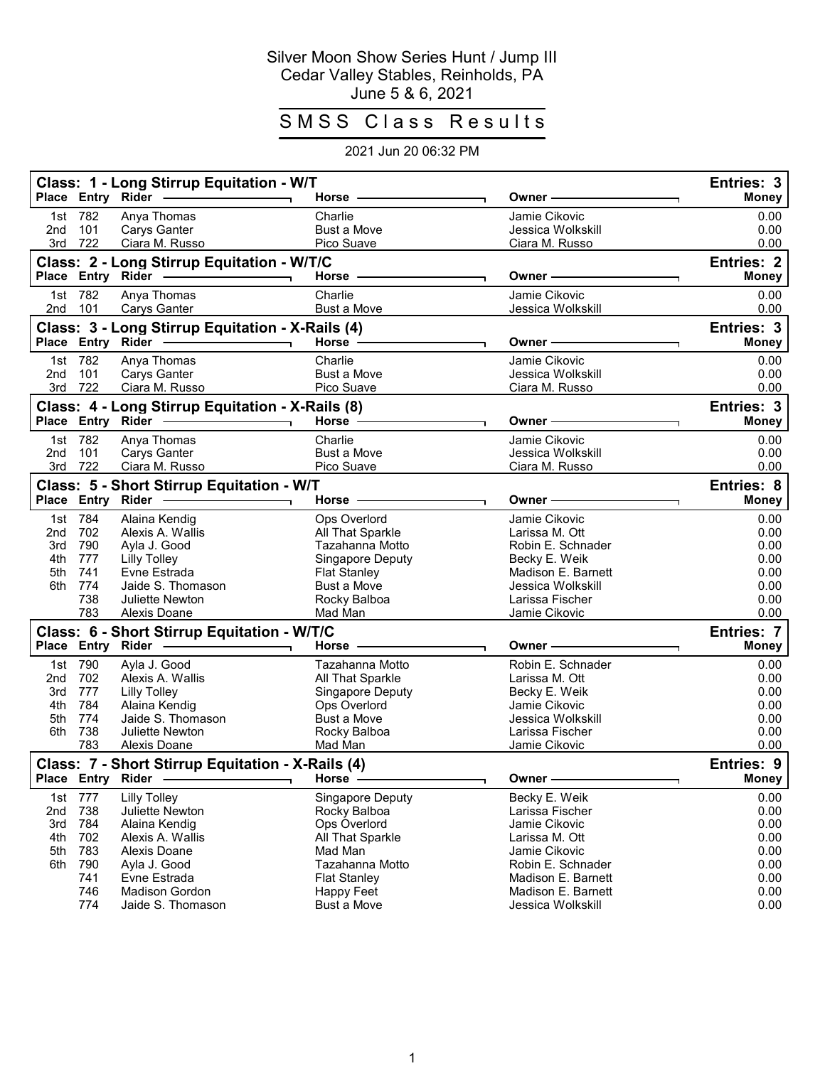## Silver Moon Show Series Hunt / Jump III Cedar Valley Stables, Reinholds, PA June 5 & 6, 2021

## SMSS Class Results

## 2021 Jun 20 06:32 PM

|                                        | Place Entry Rider                                               | Class: 1 - Long Stirrup Equitation - W/T                                                                                                                                  | Horse -                                                                                                                                                              | Owner ·                                                                                                                                                                    | Entries: 3<br><b>Money</b>                                           |
|----------------------------------------|-----------------------------------------------------------------|---------------------------------------------------------------------------------------------------------------------------------------------------------------------------|----------------------------------------------------------------------------------------------------------------------------------------------------------------------|----------------------------------------------------------------------------------------------------------------------------------------------------------------------------|----------------------------------------------------------------------|
| 2 <sub>nd</sub>                        | 1st 782<br>101<br>3rd 722                                       | Anya Thomas<br>Carys Ganter<br>Ciara M. Russo                                                                                                                             | Charlie<br><b>Bust a Move</b><br>Pico Suave                                                                                                                          | Jamie Cikovic<br>Jessica Wolkskill<br>Ciara M. Russo                                                                                                                       | 0.00<br>0.00<br>0.00                                                 |
|                                        |                                                                 | Class: 2 - Long Stirrup Equitation - W/T/C<br>Place Entry Rider                                                                                                           | Horse -                                                                                                                                                              | Owner -                                                                                                                                                                    | <b>Entries: 2</b><br><b>Money</b>                                    |
|                                        | 1st 782<br>2nd 101                                              | Anya Thomas<br><b>Carys Ganter</b>                                                                                                                                        | Charlie<br><b>Bust a Move</b>                                                                                                                                        | Jamie Cikovic<br>Jessica Wolkskill                                                                                                                                         | 0.00<br>0.00                                                         |
|                                        | Place Entry Rider                                               | Class: 3 - Long Stirrup Equitation - X-Rails (4)                                                                                                                          | Horse -                                                                                                                                                              | Owner -                                                                                                                                                                    | Entries: 3<br><b>Money</b>                                           |
| 2nd                                    | 1st 782<br>101<br>3rd 722                                       | Anya Thomas<br>Carys Ganter<br>Ciara M. Russo                                                                                                                             | Charlie<br>Bust a Move<br>Pico Suave                                                                                                                                 | Jamie Cikovic<br>Jessica Wolkskill<br>Ciara M. Russo                                                                                                                       | 0.00<br>0.00<br>0.00                                                 |
|                                        |                                                                 | Class: 4 - Long Stirrup Equitation - X-Rails (8)<br>Place Entry Rider                                                                                                     | Horse -                                                                                                                                                              | Owner ·                                                                                                                                                                    | Entries: 3<br><b>Money</b>                                           |
| 2nd<br>3rd                             | 1st 782<br>101<br>722                                           | Anya Thomas<br>Carys Ganter<br>Ciara M. Russo                                                                                                                             | Charlie<br><b>Bust a Move</b><br>Pico Suave                                                                                                                          | Jamie Cikovic<br>Jessica Wolkskill<br>Ciara M. Russo                                                                                                                       | 0.00<br>0.00<br>0.00                                                 |
|                                        | Place Entry Rider                                               | Class: 5 - Short Stirrup Equitation - W/T                                                                                                                                 | Horse .                                                                                                                                                              | Owner -                                                                                                                                                                    | <b>Entries: 8</b><br><b>Money</b>                                    |
| 1st<br>2nd<br>3rd<br>4th<br>5th<br>6th | 784<br>702<br>790<br>777<br>741<br>774<br>738<br>783            | Alaina Kendig<br>Alexis A. Wallis<br>Ayla J. Good<br><b>Lilly Tolley</b><br>Evne Estrada<br>Jaide S. Thomason<br><b>Juliette Newton</b><br>Alexis Doane                   | Ops Overlord<br>All That Sparkle<br>Tazahanna Motto<br>Singapore Deputy<br><b>Flat Stanley</b><br>Bust a Move<br>Rocky Balboa<br>Mad Man                             | Jamie Cikovic<br>Larissa M. Ott<br>Robin E. Schnader<br>Becky E. Weik<br>Madison E. Barnett<br>Jessica Wolkskill<br>Larissa Fischer<br>Jamie Cikovic                       | 0.00<br>0.00<br>0.00<br>0.00<br>0.00<br>0.00<br>0.00<br>0.00         |
|                                        | Place Entry Rider                                               | Class: 6 - Short Stirrup Equitation - W/T/C                                                                                                                               | Horse                                                                                                                                                                | Owner -                                                                                                                                                                    | <b>Entries: 7</b><br>Money                                           |
| 1st<br>2nd<br>3rd<br>4th<br>5th<br>6th | 790<br>702<br>777<br>784<br>774<br>738<br>783                   | Ayla J. Good<br>Alexis A. Wallis<br><b>Lilly Tolley</b><br>Alaina Kendig<br>Jaide S. Thomason<br><b>Juliette Newton</b><br>Alexis Doane                                   | Tazahanna Motto<br>All That Sparkle<br>Singapore Deputy<br>Ops Overlord<br>Bust a Move<br>Rocky Balboa<br>Mad Man                                                    | Robin E. Schnader<br>Larissa M. Ott<br>Becky E. Weik<br>Jamie Cikovic<br>Jessica Wolkskill<br>Larissa Fischer<br>Jamie Cikovic                                             | 0.00<br>0.00<br>0.00<br>0.00<br>0.00<br>0.00<br>0.00                 |
|                                        | Place Entry                                                     | Class: 7 - Short Stirrup Equitation - X-Rails (4)<br>Rider -                                                                                                              | Horse -                                                                                                                                                              | Owner-                                                                                                                                                                     | <b>Entries: 9</b><br><b>Money</b>                                    |
| 2nd<br>3rd<br>4th<br>5th<br>6th        | 1st 777<br>738<br>784<br>702<br>783<br>790<br>741<br>746<br>774 | <b>Lilly Tolley</b><br>Juliette Newton<br>Alaina Kendig<br>Alexis A. Wallis<br>Alexis Doane<br>Ayla J. Good<br>Evne Estrada<br><b>Madison Gordon</b><br>Jaide S. Thomason | <b>Singapore Deputy</b><br>Rocky Balboa<br>Ops Overlord<br>All That Sparkle<br>Mad Man<br>Tazahanna Motto<br><b>Flat Stanley</b><br>Happy Feet<br><b>Bust a Move</b> | Becky E. Weik<br>Larissa Fischer<br>Jamie Cikovic<br>Larissa M. Ott<br>Jamie Cikovic<br>Robin E. Schnader<br>Madison E. Barnett<br>Madison E. Barnett<br>Jessica Wolkskill | 0.00<br>0.00<br>0.00<br>0.00<br>0.00<br>0.00<br>0.00<br>0.00<br>0.00 |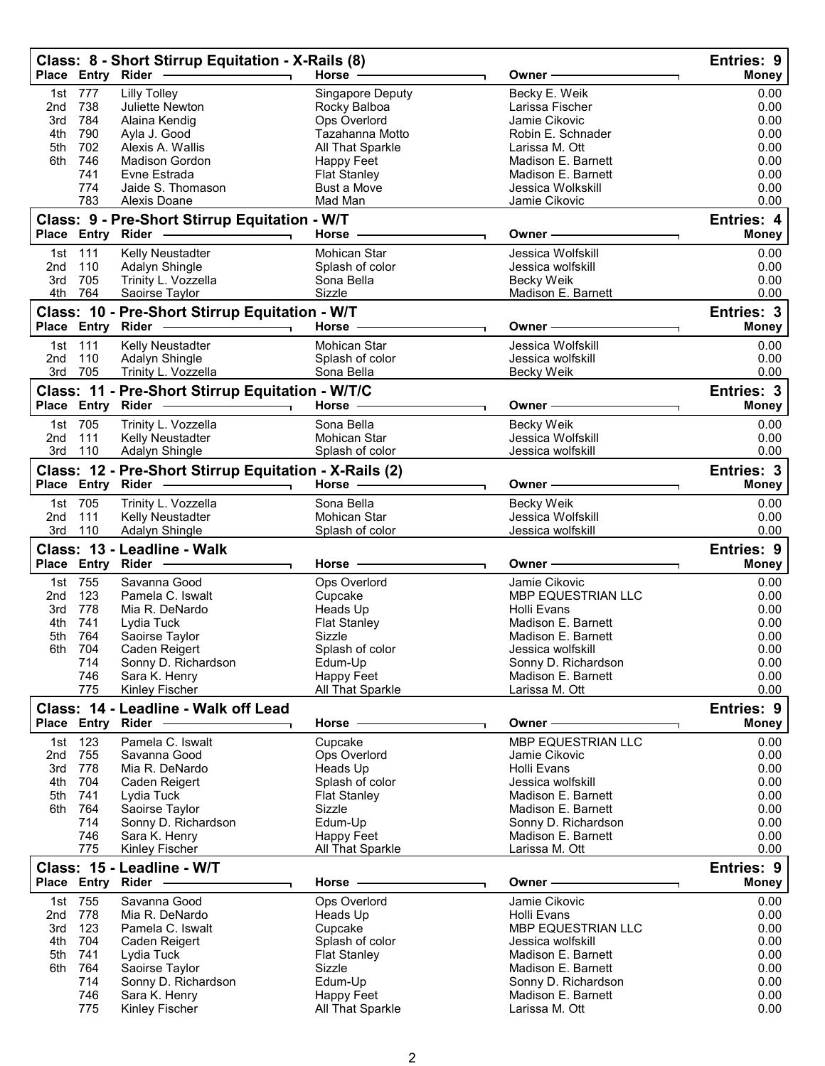|                 |                   | Class: 8 - Short Stirrup Equitation - X-Rails (8)                                                                                                                                                                                                                                                                                                                                                                                |                                        |                                          | Entries: 9        |
|-----------------|-------------------|----------------------------------------------------------------------------------------------------------------------------------------------------------------------------------------------------------------------------------------------------------------------------------------------------------------------------------------------------------------------------------------------------------------------------------|----------------------------------------|------------------------------------------|-------------------|
|                 | Place Entry Rider |                                                                                                                                                                                                                                                                                                                                                                                                                                  | Horse $-$                              | Owner -                                  | <b>Money</b>      |
| 1st             | 777               | <b>Lilly Tolley</b>                                                                                                                                                                                                                                                                                                                                                                                                              | <b>Singapore Deputy</b>                | Becky E. Weik                            | 0.00              |
| 2nd             | 738               | Juliette Newton                                                                                                                                                                                                                                                                                                                                                                                                                  | Rocky Balboa                           | Larissa Fischer                          | 0.00              |
| 3rd             | 784               | Alaina Kendig                                                                                                                                                                                                                                                                                                                                                                                                                    | Ops Overlord                           | Jamie Cikovic                            | 0.00              |
| 4th<br>5th      | 790<br>702        | Ayla J. Good<br>Alexis A. Wallis                                                                                                                                                                                                                                                                                                                                                                                                 | Tazahanna Motto<br>All That Sparkle    | Robin E. Schnader<br>Larissa M. Ott      | 0.00<br>0.00      |
| 6th             | 746               | <b>Madison Gordon</b>                                                                                                                                                                                                                                                                                                                                                                                                            | Happy Feet                             | Madison E. Barnett                       | 0.00              |
|                 | 741               | Evne Estrada                                                                                                                                                                                                                                                                                                                                                                                                                     | <b>Flat Stanley</b>                    | Madison E. Barnett                       | 0.00              |
|                 | 774               | Jaide S. Thomason                                                                                                                                                                                                                                                                                                                                                                                                                | <b>Bust a Move</b>                     | Jessica Wolkskill                        | 0.00              |
|                 | 783               | Alexis Doane                                                                                                                                                                                                                                                                                                                                                                                                                     | Mad Man                                | Jamie Cikovic                            | 0.00              |
|                 |                   | Class: 9 - Pre-Short Stirrup Equitation - W/T                                                                                                                                                                                                                                                                                                                                                                                    |                                        |                                          | Entries: 4        |
|                 | Place Entry Rider |                                                                                                                                                                                                                                                                                                                                                                                                                                  | Horse -                                | Owner -                                  | <b>Money</b>      |
|                 | 1st 111           | Kelly Neustadter                                                                                                                                                                                                                                                                                                                                                                                                                 | Mohican Star                           | Jessica Wolfskill                        | 0.00              |
| 2nd             | 110               | Adalyn Shingle                                                                                                                                                                                                                                                                                                                                                                                                                   | Splash of color                        | Jessica wolfskill                        | 0.00              |
| 3rd             | 705               | Trinity L. Vozzella                                                                                                                                                                                                                                                                                                                                                                                                              | Sona Bella                             | <b>Becky Weik</b>                        | 0.00              |
|                 | 4th 764           | Saoirse Taylor                                                                                                                                                                                                                                                                                                                                                                                                                   | Sizzle                                 | Madison E. Barnett                       | 0.00              |
|                 |                   | Class: 10 - Pre-Short Stirrup Equitation - W/T                                                                                                                                                                                                                                                                                                                                                                                   |                                        |                                          | Entries: 3        |
|                 | Place Entry Rider | $\overline{\phantom{a}}$ . The contract of $\overline{\phantom{a}}$ , $\overline{\phantom{a}}$ , $\overline{\phantom{a}}$ , $\overline{\phantom{a}}$ , $\overline{\phantom{a}}$ , $\overline{\phantom{a}}$ , $\overline{\phantom{a}}$ , $\overline{\phantom{a}}$ , $\overline{\phantom{a}}$ , $\overline{\phantom{a}}$ , $\overline{\phantom{a}}$ , $\overline{\phantom{a}}$ , $\overline{\phantom{a}}$ , $\overline{\phantom{a$ | <b>Horse</b>                           | Owner                                    | <b>Money</b>      |
|                 | 1st 111           | Kelly Neustadter                                                                                                                                                                                                                                                                                                                                                                                                                 | Mohican Star                           | Jessica Wolfskill                        | 0.00              |
| 2nd             | 110               | Adalyn Shingle                                                                                                                                                                                                                                                                                                                                                                                                                   | Splash of color                        | Jessica wolfskill                        | 0.00              |
| 3rd             | 705               | Trinity L. Vozzella                                                                                                                                                                                                                                                                                                                                                                                                              | Sona Bella                             | <b>Becky Weik</b>                        | 0.00              |
|                 |                   | Class: 11 - Pre-Short Stirrup Equitation - W/T/C                                                                                                                                                                                                                                                                                                                                                                                 |                                        |                                          | Entries: 3        |
|                 | Place Entry Rider | $\overline{\phantom{a}}$ and $\overline{\phantom{a}}$ and $\overline{\phantom{a}}$ and $\overline{\phantom{a}}$ and $\overline{\phantom{a}}$ and $\overline{\phantom{a}}$ and $\overline{\phantom{a}}$ and $\overline{\phantom{a}}$ and $\overline{\phantom{a}}$ and $\overline{\phantom{a}}$ and $\overline{\phantom{a}}$ and $\overline{\phantom{a}}$ and $\overline{\phantom{a}}$ and $\overline{\phantom{a}}$ a              | Horse                                  | Owner -                                  | Money             |
|                 | 1st 705           | Trinity L. Vozzella                                                                                                                                                                                                                                                                                                                                                                                                              | Sona Bella                             | Becky Weik                               | 0.00              |
| 2nd             | 111               | Kelly Neustadter                                                                                                                                                                                                                                                                                                                                                                                                                 | Mohican Star                           | Jessica Wolfskill                        | 0.00              |
| 3rd             | 110               | Adalyn Shingle                                                                                                                                                                                                                                                                                                                                                                                                                   | Splash of color                        | Jessica wolfskill                        | 0.00              |
|                 |                   | Class: 12 - Pre-Short Stirrup Equitation - X-Rails (2)                                                                                                                                                                                                                                                                                                                                                                           |                                        |                                          | Entries: 3        |
|                 | Place Entry Rider |                                                                                                                                                                                                                                                                                                                                                                                                                                  | Horse -                                | Owner -                                  | <b>Money</b>      |
|                 | 1st 705           | Trinity L. Vozzella                                                                                                                                                                                                                                                                                                                                                                                                              | Sona Bella                             | Becky Weik                               | 0.00              |
| 2 <sub>nd</sub> | 111               | Kelly Neustadter                                                                                                                                                                                                                                                                                                                                                                                                                 | Mohican Star                           | Jessica Wolfskill                        | 0.00              |
| 3rd             | 110               | <b>Adalyn Shingle</b>                                                                                                                                                                                                                                                                                                                                                                                                            | Splash of color                        | Jessica wolfskill                        | 0.00              |
|                 |                   | Class: 13 - Leadline - Walk                                                                                                                                                                                                                                                                                                                                                                                                      |                                        |                                          | <b>Entries: 9</b> |
|                 |                   | Place Entry Rider --------                                                                                                                                                                                                                                                                                                                                                                                                       |                                        |                                          |                   |
|                 |                   |                                                                                                                                                                                                                                                                                                                                                                                                                                  | Horse                                  | Owner –                                  | <b>Money</b>      |
|                 | 1st 755           | Savanna Good                                                                                                                                                                                                                                                                                                                                                                                                                     |                                        | Jamie Cikovic                            | 0.00              |
| 2nd             | 123               | Pamela C. Iswalt                                                                                                                                                                                                                                                                                                                                                                                                                 | Ops Overlord<br>Cupcake                | MBP EQUESTRIAN LLC                       | 0.00              |
| 3rd             | 778               | Mia R. DeNardo                                                                                                                                                                                                                                                                                                                                                                                                                   | Heads Up                               | Holli Evans                              | 0.00              |
| 4th             | 741               | Lydia Tuck                                                                                                                                                                                                                                                                                                                                                                                                                       | <b>Flat Stanley</b>                    | Madison E. Barnett                       | 0.00              |
| 5th             | 764               | Saoirse Taylor                                                                                                                                                                                                                                                                                                                                                                                                                   | Sizzle                                 | Madison E. Barnett                       | 0.00              |
| 6th             | 704               | Caden Reigert                                                                                                                                                                                                                                                                                                                                                                                                                    | Splash of color                        | Jessica wolfskill                        | 0.00              |
|                 | 714               | Sonny D. Richardson                                                                                                                                                                                                                                                                                                                                                                                                              | Edum-Up                                | Sonny D. Richardson                      | 0.00              |
|                 | 746               | Sara K. Henry                                                                                                                                                                                                                                                                                                                                                                                                                    | Happy Feet                             | Madison E. Barnett                       | 0.00              |
|                 | 775               | Kinley Fischer                                                                                                                                                                                                                                                                                                                                                                                                                   | All That Sparkle                       | Larissa M. Ott                           | 0.00              |
|                 |                   | Class: 14 - Leadline - Walk off Lead                                                                                                                                                                                                                                                                                                                                                                                             | Horse —                                | Owner -                                  | Entries: 9        |
|                 |                   | Place Entry Rider -                                                                                                                                                                                                                                                                                                                                                                                                              |                                        |                                          | <b>Money</b>      |
|                 | 1st 123           | Pamela C. Iswalt                                                                                                                                                                                                                                                                                                                                                                                                                 | Cupcake                                | MBP EQUESTRIAN LLC                       | 0.00              |
| 2nd             | 755               | Savanna Good                                                                                                                                                                                                                                                                                                                                                                                                                     | Ops Overlord                           | Jamie Cikovic                            | 0.00              |
| 3rd             | 778<br>4th 704    | Mia R. DeNardo                                                                                                                                                                                                                                                                                                                                                                                                                   | Heads Up                               | Holli Evans<br>Jessica wolfskill         | 0.00<br>0.00      |
| 5th             | 741               | Caden Reigert<br>Lydia Tuck                                                                                                                                                                                                                                                                                                                                                                                                      | Splash of color<br><b>Flat Stanley</b> | Madison E. Barnett                       | 0.00              |
|                 | 6th 764           | Saoirse Taylor                                                                                                                                                                                                                                                                                                                                                                                                                   | Sizzle                                 | Madison E. Barnett                       | 0.00              |
|                 | 714               | Sonny D. Richardson                                                                                                                                                                                                                                                                                                                                                                                                              | Edum-Up                                | Sonny D. Richardson                      | 0.00              |
|                 | 746               | Sara K. Henry                                                                                                                                                                                                                                                                                                                                                                                                                    | <b>Happy Feet</b>                      | Madison E. Barnett                       | 0.00              |
|                 | 775               | Kinley Fischer                                                                                                                                                                                                                                                                                                                                                                                                                   | All That Sparkle                       | Larissa M. Ott                           | 0.00              |
|                 |                   | Class: 15 - Leadline - W/T                                                                                                                                                                                                                                                                                                                                                                                                       |                                        |                                          | Entries: 9        |
|                 |                   | Place Entry Rider ------------                                                                                                                                                                                                                                                                                                                                                                                                   | Horse -                                | Owner -                                  | Money             |
|                 | 1st 755           | Savanna Good                                                                                                                                                                                                                                                                                                                                                                                                                     | Ops Overlord                           | Jamie Cikovic                            | 0.00              |
| 2nd             | 778               | Mia R. DeNardo                                                                                                                                                                                                                                                                                                                                                                                                                   | Heads Up                               | Holli Evans                              | 0.00              |
| 3rd             | - 123             | Pamela C. Iswalt                                                                                                                                                                                                                                                                                                                                                                                                                 | Cupcake                                | MBP EQUESTRIAN LLC                       | 0.00              |
| 4th             | 704               | Caden Reigert                                                                                                                                                                                                                                                                                                                                                                                                                    | Splash of color                        | Jessica wolfskill                        | 0.00              |
| 5th<br>6th      | 741<br>764        | Lydia Tuck                                                                                                                                                                                                                                                                                                                                                                                                                       | <b>Flat Stanley</b><br>Sizzle          | Madison E. Barnett<br>Madison E. Barnett | 0.00              |
|                 | 714               | Saoirse Taylor<br>Sonny D. Richardson                                                                                                                                                                                                                                                                                                                                                                                            | Edum-Up                                | Sonny D. Richardson                      | 0.00<br>0.00      |
|                 | 746<br>775        | Sara K. Henry<br>Kinley Fischer                                                                                                                                                                                                                                                                                                                                                                                                  | Happy Feet<br>All That Sparkle         | Madison E. Barnett<br>Larissa M. Ott     | 0.00<br>0.00      |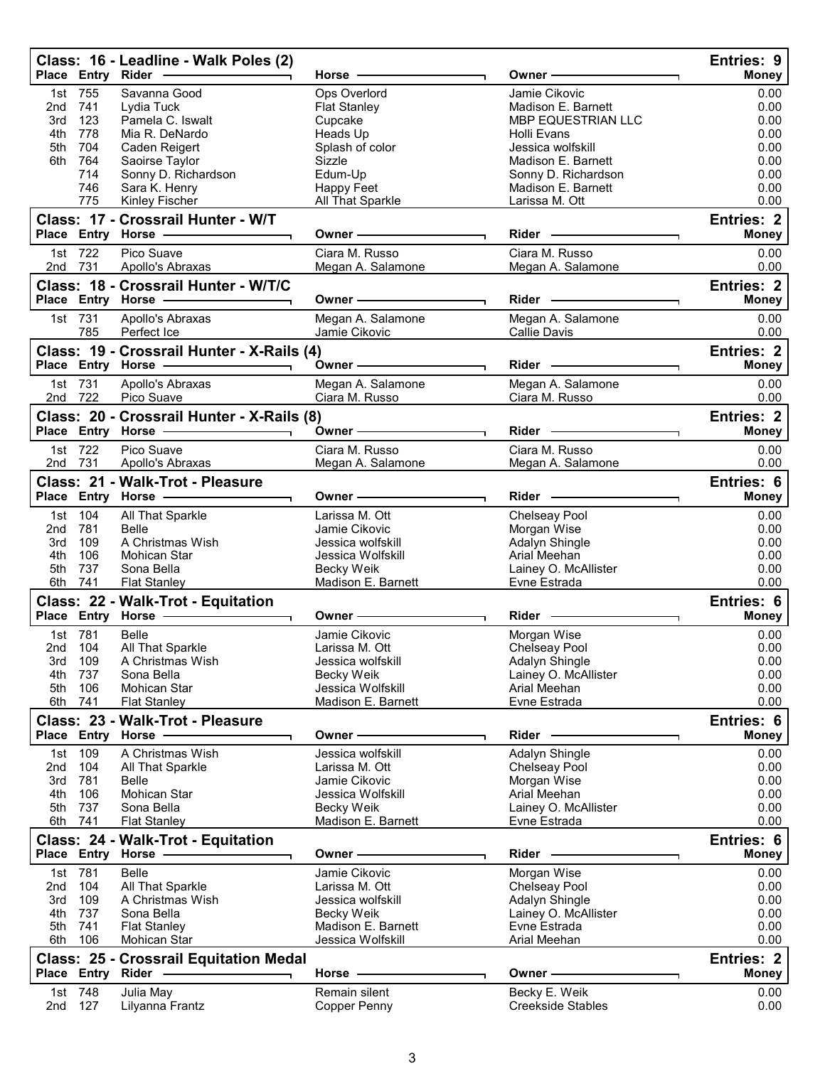|            |                    | Class: 16 - Leadline - Walk Poles (2)<br>Place Entry Rider -                                                  | Horse -                                                                                                                                                                                                                       | Owner –                                                                                                                                                                                                                        | Entries: 9<br><b>Money</b>        |
|------------|--------------------|---------------------------------------------------------------------------------------------------------------|-------------------------------------------------------------------------------------------------------------------------------------------------------------------------------------------------------------------------------|--------------------------------------------------------------------------------------------------------------------------------------------------------------------------------------------------------------------------------|-----------------------------------|
|            | 1st 755            | Savanna Good                                                                                                  | Ops Overlord                                                                                                                                                                                                                  | Jamie Cikovic                                                                                                                                                                                                                  | 0.00                              |
| 2nd        | 741                | Lydia Tuck                                                                                                    | <b>Flat Stanley</b>                                                                                                                                                                                                           | Madison E. Barnett                                                                                                                                                                                                             | 0.00                              |
| 3rd        | 123                | Pamela C. Iswalt                                                                                              | Cupcake                                                                                                                                                                                                                       | MBP EQUESTRIAN LLC                                                                                                                                                                                                             | 0.00                              |
| 4th        | 778                | Mia R. DeNardo                                                                                                | Heads Up                                                                                                                                                                                                                      | <b>Holli Evans</b>                                                                                                                                                                                                             | 0.00                              |
| 5th        | 704                | Caden Reigert                                                                                                 | Splash of color                                                                                                                                                                                                               | Jessica wolfskill                                                                                                                                                                                                              | 0.00                              |
| 6th        | 764<br>714         | Saoirse Taylor<br>Sonny D. Richardson                                                                         | Sizzle<br>Edum-Up                                                                                                                                                                                                             | Madison E. Barnett<br>Sonny D. Richardson                                                                                                                                                                                      | 0.00<br>0.00                      |
|            | 746                | Sara K. Henry                                                                                                 | Happy Feet                                                                                                                                                                                                                    | Madison E. Barnett                                                                                                                                                                                                             | 0.00                              |
|            | 775                | Kinley Fischer                                                                                                | All That Sparkle                                                                                                                                                                                                              | Larissa M. Ott                                                                                                                                                                                                                 | 0.00                              |
|            |                    | Class: 17 - Crossrail Hunter - W/T                                                                            |                                                                                                                                                                                                                               |                                                                                                                                                                                                                                | <b>Entries: 2</b>                 |
|            |                    | Place Entry Horse - The Management of the Management of the Management of the Management of the Management of | Owner -                                                                                                                                                                                                                       | $Rider -$                                                                                                                                                                                                                      | <b>Money</b>                      |
|            | 1st 722            | Pico Suave                                                                                                    | Ciara M. Russo                                                                                                                                                                                                                | Ciara M. Russo                                                                                                                                                                                                                 | 0.00                              |
|            | 2nd 731            | Apollo's Abraxas                                                                                              | Megan A. Salamone                                                                                                                                                                                                             | Megan A. Salamone                                                                                                                                                                                                              | 0.00                              |
|            |                    | Class: 18 - Crossrail Hunter - W/T/C                                                                          |                                                                                                                                                                                                                               |                                                                                                                                                                                                                                | <b>Entries: 2</b>                 |
|            |                    | Place Entry Horse - The Management of the Management of the Management of the Management of the Management of | Owner –                                                                                                                                                                                                                       | Rider - The Management of the Management of the Management of the Management of the Management of the Management of the Management of the Management of the Management of the Management of the Management of the Management o | <b>Money</b>                      |
|            | 1st 731            | Apollo's Abraxas                                                                                              | Megan A. Salamone                                                                                                                                                                                                             | Megan A. Salamone                                                                                                                                                                                                              | 0.00                              |
|            | 785                | Perfect Ice                                                                                                   | Jamie Cikovic                                                                                                                                                                                                                 | Callie Davis                                                                                                                                                                                                                   | 0.00                              |
|            |                    | Class: 19 - Crossrail Hunter - X-Rails (4)                                                                    |                                                                                                                                                                                                                               |                                                                                                                                                                                                                                | <b>Entries: 2</b>                 |
|            |                    |                                                                                                               | Owner - The Common Common Common Common Common Common Common Common Common Common Common Common Common Common Common Common Common Common Common Common Common Common Common Common Common Common Common Common Common Common | Rider - The Management of the Management of the Management of the Management of the Management of the Management of the Management of the Management of the Management of the Management of the Management of the Management o | <b>Money</b>                      |
|            | 1st 731            | Apollo's Abraxas                                                                                              | Megan A. Salamone                                                                                                                                                                                                             | Megan A. Salamone                                                                                                                                                                                                              | 0.00                              |
|            | 2nd 722            | Pico Suave                                                                                                    | Ciara M. Russo                                                                                                                                                                                                                | Ciara M. Russo                                                                                                                                                                                                                 | 0.00                              |
|            |                    | Class: 20 - Crossrail Hunter - X-Rails (8)                                                                    |                                                                                                                                                                                                                               |                                                                                                                                                                                                                                | <b>Entries: 2</b>                 |
|            |                    |                                                                                                               | Owner -                                                                                                                                                                                                                       | Rider -                                                                                                                                                                                                                        | <b>Money</b>                      |
|            | 1st 722            | Pico Suave                                                                                                    | Ciara M. Russo                                                                                                                                                                                                                | Ciara M. Russo                                                                                                                                                                                                                 | 0.00                              |
|            | 2nd 731            | Apollo's Abraxas                                                                                              | Megan A. Salamone                                                                                                                                                                                                             | Megan A. Salamone                                                                                                                                                                                                              | 0.00                              |
|            |                    | Class: 21 - Walk-Trot - Pleasure                                                                              |                                                                                                                                                                                                                               |                                                                                                                                                                                                                                | Entries: 6                        |
|            |                    | Place Entry Horse - The Management of the Management of the Management of the Management of the Management of | Owner-                                                                                                                                                                                                                        | Rider -                                                                                                                                                                                                                        | <b>Money</b>                      |
|            | 1st 104            | All That Sparkle                                                                                              | Larissa M. Ott                                                                                                                                                                                                                | Chelseay Pool                                                                                                                                                                                                                  | 0.00                              |
| 2nd        | 781                | Belle                                                                                                         | Jamie Cikovic                                                                                                                                                                                                                 | Morgan Wise                                                                                                                                                                                                                    | 0.00                              |
| 3rd        | 109                | A Christmas Wish                                                                                              | Jessica wolfskill                                                                                                                                                                                                             | Adalyn Shingle                                                                                                                                                                                                                 | 0.00                              |
| 4th        | 106                | Mohican Star                                                                                                  | Jessica Wolfskill                                                                                                                                                                                                             | Arial Meehan                                                                                                                                                                                                                   | 0.00                              |
| 5th        | 737                | Sona Bella                                                                                                    | Becky Weik                                                                                                                                                                                                                    | Lainey O. McAllister                                                                                                                                                                                                           | 0.00                              |
|            | 6th 741            | <b>Flat Stanley</b>                                                                                           | Madison E. Barnett                                                                                                                                                                                                            | Evne Estrada                                                                                                                                                                                                                   | 0.00                              |
|            |                    | Class: 22 - Walk-Trot - Equitation                                                                            |                                                                                                                                                                                                                               |                                                                                                                                                                                                                                | Entries: 6                        |
|            |                    | Place Entry Horse - and Discount of Place Entry Horse                                                         | Owner-                                                                                                                                                                                                                        | Rider -                                                                                                                                                                                                                        | <b>Money</b>                      |
|            | 1st 781            | <b>Belle</b>                                                                                                  | Jamie Cikovic                                                                                                                                                                                                                 | Morgan Wise                                                                                                                                                                                                                    | 0.00                              |
|            | 2nd 104            | All That Sparkle                                                                                              | Larissa M. Ott                                                                                                                                                                                                                | Chelseay Pool                                                                                                                                                                                                                  | 0.00                              |
| 3rd        | 109                | A Christmas Wish                                                                                              | Jessica wolfskill                                                                                                                                                                                                             | Adalyn Shingle                                                                                                                                                                                                                 | 0.00                              |
| 4th<br>5th | 737<br>106         | Sona Bella<br>Mohican Star                                                                                    | Becky Weik<br>Jessica Wolfskill                                                                                                                                                                                               | Lainey O. McAllister<br>Arial Meehan                                                                                                                                                                                           | 0.00<br>0.00                      |
|            | 6th 741            | <b>Flat Stanley</b>                                                                                           | Madison E. Barnett                                                                                                                                                                                                            | Evne Estrada                                                                                                                                                                                                                   | 0.00                              |
|            |                    | Class: 23 - Walk-Trot - Pleasure                                                                              |                                                                                                                                                                                                                               |                                                                                                                                                                                                                                | Entries: 6                        |
|            |                    | Place Entry Horse -                                                                                           | Owner-                                                                                                                                                                                                                        | <b>Rider</b>                                                                                                                                                                                                                   | Money                             |
|            | 1st 109            | A Christmas Wish                                                                                              | Jessica wolfskill                                                                                                                                                                                                             | Adalyn Shingle                                                                                                                                                                                                                 | 0.00                              |
| 2nd        | 104                | All That Sparkle                                                                                              | Larissa M. Ott                                                                                                                                                                                                                | Chelseay Pool                                                                                                                                                                                                                  | 0.00                              |
| 3rd        | 781                | Belle                                                                                                         | Jamie Cikovic                                                                                                                                                                                                                 | Morgan Wise                                                                                                                                                                                                                    | 0.00                              |
| 4th        | 106                | Mohican Star                                                                                                  | Jessica Wolfskill                                                                                                                                                                                                             | Arial Meehan                                                                                                                                                                                                                   | 0.00                              |
| 5th        | 737                | Sona Bella                                                                                                    | Becky Weik                                                                                                                                                                                                                    | Lainey O. McAllister                                                                                                                                                                                                           | 0.00                              |
| 6th        | 741                | <b>Flat Stanley</b>                                                                                           | Madison E. Barnett                                                                                                                                                                                                            | Evne Estrada                                                                                                                                                                                                                   | 0.00                              |
|            |                    | Class: 24 - Walk-Trot - Equitation                                                                            |                                                                                                                                                                                                                               |                                                                                                                                                                                                                                | Entries: 6                        |
|            |                    | Place Entry Horse -                                                                                           | Owner -                                                                                                                                                                                                                       | $Rider -$                                                                                                                                                                                                                      | <b>Money</b>                      |
|            | 1st 781            | <b>Belle</b>                                                                                                  | Jamie Cikovic                                                                                                                                                                                                                 | Morgan Wise                                                                                                                                                                                                                    | 0.00                              |
| 2nd        | 104                | All That Sparkle                                                                                              | Larissa M. Ott                                                                                                                                                                                                                | Chelseay Pool                                                                                                                                                                                                                  | 0.00                              |
| 3rd        | 109                | A Christmas Wish                                                                                              | Jessica wolfskill                                                                                                                                                                                                             | Adalyn Shingle                                                                                                                                                                                                                 | 0.00                              |
| 4th        | 737                | Sona Bella                                                                                                    | Becky Weik                                                                                                                                                                                                                    | Lainey O. McAllister                                                                                                                                                                                                           | 0.00                              |
| 5th<br>6th | 741<br>106         | <b>Flat Stanley</b><br>Mohican Star                                                                           | Madison E. Barnett<br>Jessica Wolfskill                                                                                                                                                                                       | Evne Estrada<br>Arial Meehan                                                                                                                                                                                                   | 0.00<br>0.00                      |
|            |                    |                                                                                                               |                                                                                                                                                                                                                               |                                                                                                                                                                                                                                |                                   |
|            |                    | <b>Class: 25 - Crossrail Equitation Medal</b><br>Place Entry Rider --------------                             | Horse -                                                                                                                                                                                                                       | Owner-                                                                                                                                                                                                                         | <b>Entries: 2</b><br><b>Money</b> |
|            |                    |                                                                                                               |                                                                                                                                                                                                                               |                                                                                                                                                                                                                                |                                   |
|            | 1st 748<br>2nd 127 | Julia May<br>Lilyanna Frantz                                                                                  | Remain silent<br>Copper Penny                                                                                                                                                                                                 | Becky E. Weik<br><b>Creekside Stables</b>                                                                                                                                                                                      | 0.00<br>0.00                      |
|            |                    |                                                                                                               |                                                                                                                                                                                                                               |                                                                                                                                                                                                                                |                                   |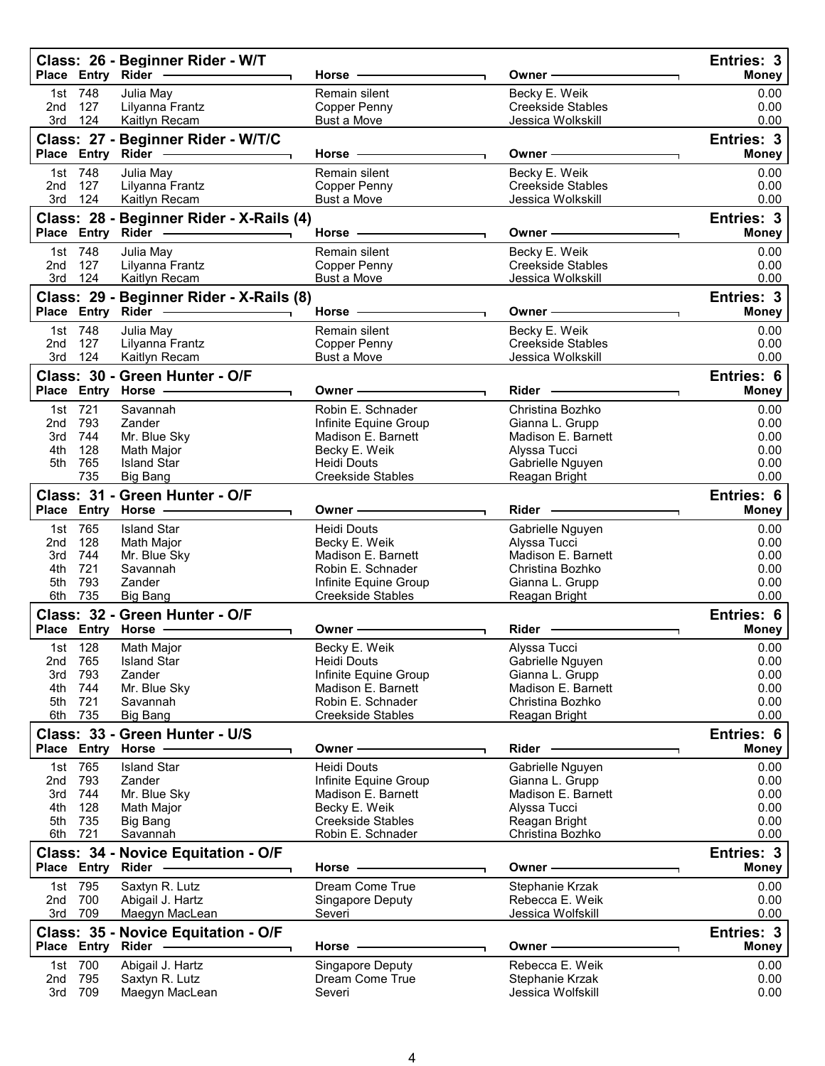|            |                    | Class: 26 - Beginner Rider - W/T<br>Place Entry Rider -         | Horse -                                       | Owner -                               | Entries: 3<br><b>Money</b> |
|------------|--------------------|-----------------------------------------------------------------|-----------------------------------------------|---------------------------------------|----------------------------|
|            | 1st 748            | Julia May                                                       | Remain silent                                 | Becky E. Weik                         | 0.00                       |
| 2nd        | 127                | Lilyanna Frantz                                                 | Copper Penny                                  | <b>Creekside Stables</b>              | 0.00                       |
| 3rd        | 124                | Kaitlyn Recam                                                   | Bust a Move                                   | Jessica Wolkskill                     | 0.00                       |
|            |                    | Class: 27 - Beginner Rider - W/T/C                              | $Horse -$                                     | Owner —                               | Entries: 3<br><b>Money</b> |
|            | 1st 748            | Julia May                                                       | Remain silent                                 | Becky E. Weik                         | 0.00                       |
| 2nd        | 127                | Lilyanna Frantz                                                 | Copper Penny                                  | <b>Creekside Stables</b>              | 0.00                       |
| 3rd        | 124                | Kaitlyn Recam                                                   | Bust a Move                                   | Jessica Wolkskill                     | 0.00                       |
|            |                    | Class: 28 - Beginner Rider - X-Rails (4)<br>Place Entry Rider - | Horse $-$                                     | Owner —                               | Entries: 3<br><b>Money</b> |
|            | 1st 748            | Julia May                                                       | Remain silent                                 | Becky E. Weik                         | 0.00                       |
| 2nd        | 127                | Lilyanna Frantz                                                 | Copper Penny                                  | <b>Creekside Stables</b>              | 0.00                       |
| 3rd        | 124                | Kaitlyn Recam                                                   | Bust a Move                                   | Jessica Wolkskill                     | 0.00                       |
|            |                    | Class: 29 - Beginner Rider - X-Rails (8)                        |                                               |                                       | Entries: 3                 |
|            |                    |                                                                 | Horse $-$                                     | Owner ——                              | <b>Money</b>               |
| 2nd        | 1st 748<br>127     | Julia May                                                       | Remain silent                                 | Becky E. Weik<br>Creekside Stables    | 0.00<br>0.00               |
|            | 3rd 124            | Lilyanna Frantz<br>Kaitlyn Recam                                | Copper Penny<br>Bust a Move                   | Jessica Wolkskill                     | 0.00                       |
|            |                    | Class: 30 - Green Hunter - O/F                                  |                                               |                                       | Entries: 6                 |
|            |                    | Place Entry Horse -------------                                 | Owner -                                       | Rider -                               | <b>Money</b>               |
|            | 1st 721            | Savannah                                                        | Robin E. Schnader                             | Christina Bozhko                      | 0.00                       |
| 2nd        | 793                | Zander                                                          | Infinite Equine Group                         | Gianna L. Grupp                       | 0.00                       |
| 3rd        | 744                | Mr. Blue Sky                                                    | Madison E. Barnett                            | Madison E. Barnett                    | 0.00                       |
| 4th<br>5th | 128<br>765         | Math Major<br><b>Island Star</b>                                | Becky E. Weik<br><b>Heidi Douts</b>           | Alyssa Tucci<br>Gabrielle Nguyen      | 0.00<br>0.00               |
|            | 735                | <b>Big Bang</b>                                                 | Creekside Stables                             | Reagan Bright                         | 0.00                       |
|            |                    | Class: 31 - Green Hunter - O/F                                  |                                               |                                       | Entries: 6                 |
|            |                    | Place Entry Horse -                                             | Owner –                                       | Rider -                               | <b>Money</b>               |
|            | 1st 765            | <b>Island Star</b>                                              | <b>Heidi Douts</b>                            | Gabrielle Nguyen                      | 0.00                       |
| 2nd        | 128                | Math Major                                                      | Becky E. Weik                                 | Alyssa Tucci                          | 0.00                       |
| 3rd        | 744                | Mr. Blue Sky                                                    | Madison E. Barnett                            | Madison E. Barnett                    | 0.00                       |
| 4th<br>5th | 721<br>793         | Savannah<br>Zander                                              | Robin E. Schnader<br>Infinite Equine Group    | Christina Bozhko<br>Gianna L. Grupp   | 0.00<br>0.00               |
| 6th        | 735                | Big Bang                                                        | Creekside Stables                             | Reagan Bright                         | 0.00                       |
|            |                    | Class: 32 - Green Hunter - O/F                                  |                                               |                                       | Entries: 6                 |
|            |                    | Place Entry Horse -                                             | Owner –                                       | Rider -                               | Money                      |
|            | 1st 128            | Math Major                                                      | Becky E. Weik                                 | Alyssa Tucci                          | 0.00                       |
| 2nd        | 765                | <b>Island Star</b>                                              | Heidi Douts                                   | Gabrielle Nguyen                      | 0.00                       |
|            | 3rd 793<br>4th 744 | Zander<br>Mr. Blue Sky                                          | Infinite Equine Group<br>Madison E. Barnett   | Gianna L. Grupp<br>Madison E. Barnett | 0.00<br>0.00               |
|            | 5th 721            | Savannah                                                        | Robin E. Schnader                             | Christina Bozhko                      | 0.00                       |
|            | 6th 735            | <b>Big Bang</b>                                                 | <b>Creekside Stables</b>                      | Reagan Bright                         | 0.00                       |
|            |                    | Class: 33 - Green Hunter - U/S<br>Place Entry Horse -           | Owner —                                       | Rider -                               | Entries: 6<br><b>Money</b> |
|            |                    |                                                                 |                                               |                                       |                            |
|            | 1st 765<br>2nd 793 | <b>Island Star</b><br>Zander                                    | Heidi Douts<br>Infinite Equine Group          | Gabrielle Nguyen<br>Gianna L. Grupp   | 0.00<br>0.00               |
|            | 3rd 744            | Mr. Blue Sky                                                    | Madison E. Barnett                            | Madison E. Barnett                    | 0.00                       |
|            | 4th 128            | Math Major                                                      | Becky E. Weik                                 | Alyssa Tucci                          | 0.00                       |
|            | 5th 735<br>6th 721 | <b>Big Bang</b><br>Savannah                                     | <b>Creekside Stables</b><br>Robin E. Schnader | Reagan Bright<br>Christina Bozhko     | 0.00<br>0.00               |
|            |                    | Class: 34 - Novice Equitation - O/F                             |                                               |                                       | Entries: 3                 |
|            |                    | Place Entry Rider -                                             | Horse —                                       | Owner -                               | Money                      |
|            | 1st 795            | Saxtyn R. Lutz                                                  | Dream Come True                               | Stephanie Krzak                       | 0.00                       |
|            | 2nd 700            | Abigail J. Hartz                                                | Singapore Deputy                              | Rebecca E. Weik                       | 0.00                       |
|            | 3rd 709            | Maegyn MacLean                                                  | Severi                                        | Jessica Wolfskill                     | 0.00                       |
|            |                    | Class: 35 - Novice Equitation - O/F                             |                                               |                                       | Entries: 3                 |
|            |                    |                                                                 |                                               |                                       |                            |
|            |                    |                                                                 | Horse -                                       | Owner -                               | <b>Money</b>               |
| 2nd        | 1st 700<br>795     | Abigail J. Hartz<br>Saxtyn R. Lutz                              | Singapore Deputy<br>Dream Come True           | Rebecca E. Weik<br>Stephanie Krzak    | 0.00<br>0.00               |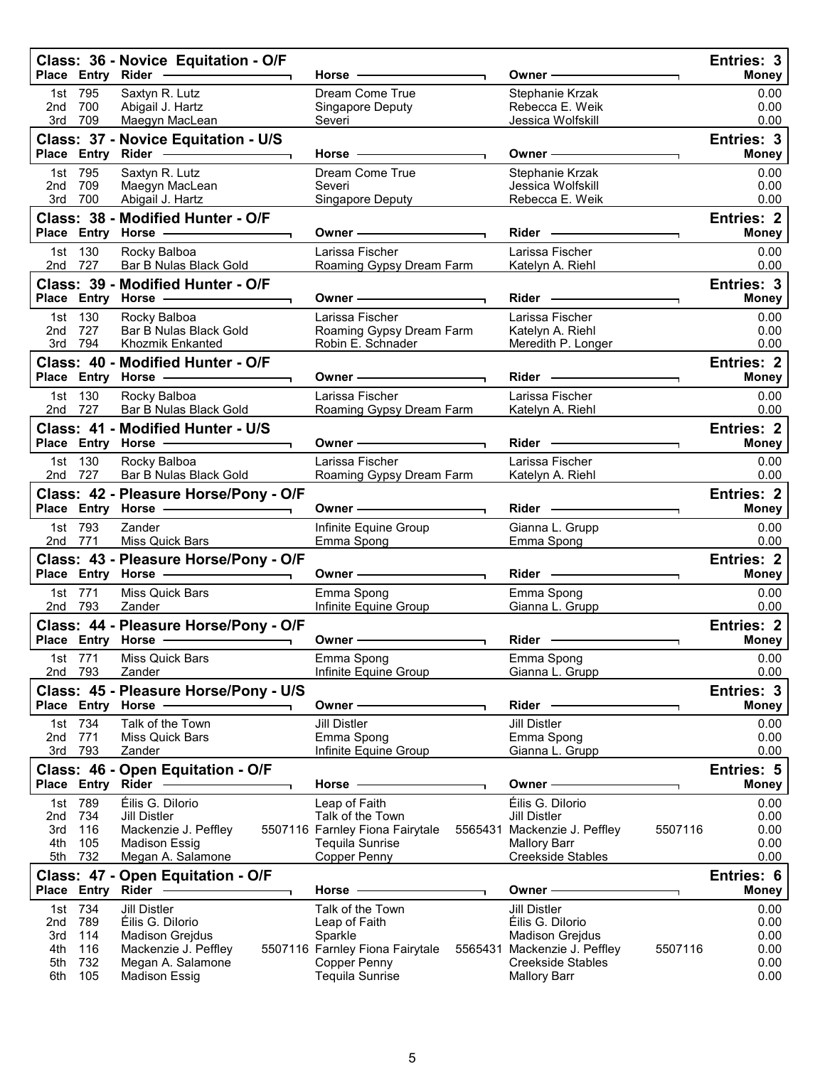|                                                                                  | Class: 36 - Novice Equitation - O/F<br>Place Entry Rider -                                                                             | Horse ·                                                                                                                   | Owner-                                                                                                                                                          | Entries: 3<br><b>Money</b>                   |
|----------------------------------------------------------------------------------|----------------------------------------------------------------------------------------------------------------------------------------|---------------------------------------------------------------------------------------------------------------------------|-----------------------------------------------------------------------------------------------------------------------------------------------------------------|----------------------------------------------|
| 1st 795<br>700<br>2nd<br>709<br>3rd                                              | Saxtyn R. Lutz<br>Abigail J. Hartz<br>Maegyn MacLean                                                                                   | Dream Come True<br>Singapore Deputy<br>Severi                                                                             | Stephanie Krzak<br>Rebecca E. Weik<br>Jessica Wolfskill                                                                                                         | 0.00<br>0.00<br>0.00                         |
| Place Entry                                                                      | Class: 37 - Novice Equitation - U/S<br>Rider <b>Container Container</b>                                                                | $Horse -$                                                                                                                 | Owner —                                                                                                                                                         | Entries: 3<br><b>Money</b>                   |
| 795<br>1st<br>709<br>2nd<br>700<br>3rd                                           | Saxtyn R. Lutz<br>Maegyn MacLean<br>Abigail J. Hartz                                                                                   | Dream Come True<br>Severi<br>Singapore Deputy                                                                             | Stephanie Krzak<br>Jessica Wolfskill<br>Rebecca E. Weik                                                                                                         | 0.00<br>0.00<br>0.00                         |
|                                                                                  | Class: 38 - Modified Hunter - O/F<br>Place Entry Horse -                                                                               | Owner -                                                                                                                   | Rider —                                                                                                                                                         | <b>Entries: 2</b><br><b>Money</b>            |
| 130<br>1st<br>727<br>2nd                                                         | Rocky Balboa<br>Bar B Nulas Black Gold                                                                                                 | Larissa Fischer<br>Roaming Gypsy Dream Farm                                                                               | Larissa Fischer<br>Katelyn A. Riehl                                                                                                                             | 0.00<br>0.00                                 |
|                                                                                  | Class: 39 - Modified Hunter - O/F<br>Place Entry Horse -                                                                               | Owner –                                                                                                                   | Rider -                                                                                                                                                         | Entries: 3<br><b>Money</b>                   |
| 130<br>1st<br>727<br>2nd<br>794<br>3rd                                           | Rocky Balboa<br>Bar B Nulas Black Gold<br>Khozmik Enkanted                                                                             | Larissa Fischer<br>Roaming Gypsy Dream Farm<br>Robin E. Schnader                                                          | Larissa Fischer<br>Katelyn A. Riehl<br>Meredith P. Longer                                                                                                       | 0.00<br>0.00<br>0.00                         |
|                                                                                  | Class: 40 - Modified Hunter - O/F<br>Place Entry Horse -                                                                               | Owner -                                                                                                                   | Rider —                                                                                                                                                         | <b>Entries: 2</b><br><b>Money</b>            |
| 130<br>1st<br>727<br>2nd                                                         | Rocky Balboa<br>Bar B Nulas Black Gold                                                                                                 | Larissa Fischer<br>Roaming Gypsy Dream Farm                                                                               | Larissa Fischer<br>Katelyn A. Riehl                                                                                                                             | 0.00<br>0.00                                 |
|                                                                                  | Class: 41 - Modified Hunter - U/S<br>Place Entry Horse -                                                                               | Owner –                                                                                                                   | $Rider \nightharpoonup$                                                                                                                                         | <b>Entries: 2</b><br><b>Money</b>            |
| 130<br>1st<br>727<br>2nd                                                         | Rocky Balboa<br>Bar B Nulas Black Gold                                                                                                 | Larissa Fischer<br>Roaming Gypsy Dream Farm                                                                               | Larissa Fischer<br>Katelyn A. Riehl                                                                                                                             | 0.00<br>0.00                                 |
|                                                                                  | Class: 42 - Pleasure Horse/Pony - O/F<br>Place Entry Horse -                                                                           | Owner —                                                                                                                   | $Rider -$                                                                                                                                                       | <b>Entries: 2</b><br><b>Money</b>            |
| 1st 793<br>771<br>2nd                                                            | Zander<br>Miss Quick Bars                                                                                                              | Infinite Equine Group<br>Emma Spong                                                                                       | Gianna L. Grupp<br>Emma Spong                                                                                                                                   | 0.00<br>0.00                                 |
|                                                                                  | Class: 43 - Pleasure Horse/Pony - O/F<br>Place Entry Horse -                                                                           | Owner -                                                                                                                   | Rider -                                                                                                                                                         | <b>Entries: 2</b><br><b>Money</b>            |
| 771<br>1st<br>2nd 793                                                            | Miss Quick Bars<br>Zander                                                                                                              | Emma Spong<br>Infinite Equine Group                                                                                       | Emma Spong<br>Gianna L. Grupp                                                                                                                                   | 0.00<br>0.00                                 |
|                                                                                  | Class: 44 - Pleasure Horse/Pony - O/F<br>Place Entry Horse - The Control of the Control of Theorem 1999                                | Owner -                                                                                                                   | Rider                                                                                                                                                           | Entries: 2<br><b>Money</b>                   |
| 1st 771<br>2nd 793                                                               | Miss Quick Bars<br>Zander                                                                                                              | Emma Spong<br>Infinite Equine Group                                                                                       | Emma Spong<br>Gianna L. Grupp                                                                                                                                   | 0.00<br>0.00                                 |
| Place Entry Horse                                                                | Class: 45 - Pleasure Horse/Pony - U/S                                                                                                  | Owner -                                                                                                                   | Rider                                                                                                                                                           | Entries: 3<br><b>Money</b>                   |
| 1st 734<br>771<br>2nd<br>793<br>3rd                                              | Talk of the Town<br>Miss Quick Bars<br>Zander                                                                                          | <b>Jill Distler</b><br>Emma Spong<br>Infinite Equine Group                                                                | <b>Jill Distler</b><br>Emma Spong<br>Gianna L. Grupp                                                                                                            | 0.00<br>0.00<br>0.00                         |
|                                                                                  | Class: 46 - Open Equitation - O/F<br>Place Entry Rider -                                                                               | Horse                                                                                                                     | Owner -                                                                                                                                                         | Entries: 5<br><b>Money</b>                   |
| 1st 789<br>734<br>2nd<br>3rd<br>116<br>4th<br>105<br>5th<br>732                  | Éilis G. Dilorio<br><b>Jill Distler</b><br>Mackenzie J. Peffley<br><b>Madison Essig</b><br>Megan A. Salamone                           | Leap of Faith<br>Talk of the Town<br>5507116 Farnley Fiona Fairytale<br><b>Tequila Sunrise</b><br><b>Copper Penny</b>     | Éilis G. Dilorio<br><b>Jill Distler</b><br>5565431 Mackenzie J. Peffley<br>5507116<br><b>Mallory Barr</b><br><b>Creekside Stables</b>                           | 0.00<br>0.00<br>0.00<br>0.00<br>0.00         |
| Place Entry                                                                      | Class: 47 - Open Equitation - O/F<br>Rider                                                                                             | Horse                                                                                                                     | Owner -                                                                                                                                                         | Entries: 6<br><b>Money</b>                   |
| 734<br>1st<br>789<br>2nd<br>114<br>3rd<br>116<br>4th<br>732<br>5th<br>105<br>6th | <b>Jill Distler</b><br>Éilis G. Dilorio<br><b>Madison Grejdus</b><br>Mackenzie J. Peffley<br>Megan A. Salamone<br><b>Madison Essig</b> | Talk of the Town<br>Leap of Faith<br>Sparkle<br>5507116 Farnley Fiona Fairytale<br>Copper Penny<br><b>Tequila Sunrise</b> | <b>Jill Distler</b><br>Éilis G. Dilorio<br><b>Madison Grejdus</b><br>5507116<br>5565431 Mackenzie J. Peffley<br><b>Creekside Stables</b><br><b>Mallory Barr</b> | 0.00<br>0.00<br>0.00<br>0.00<br>0.00<br>0.00 |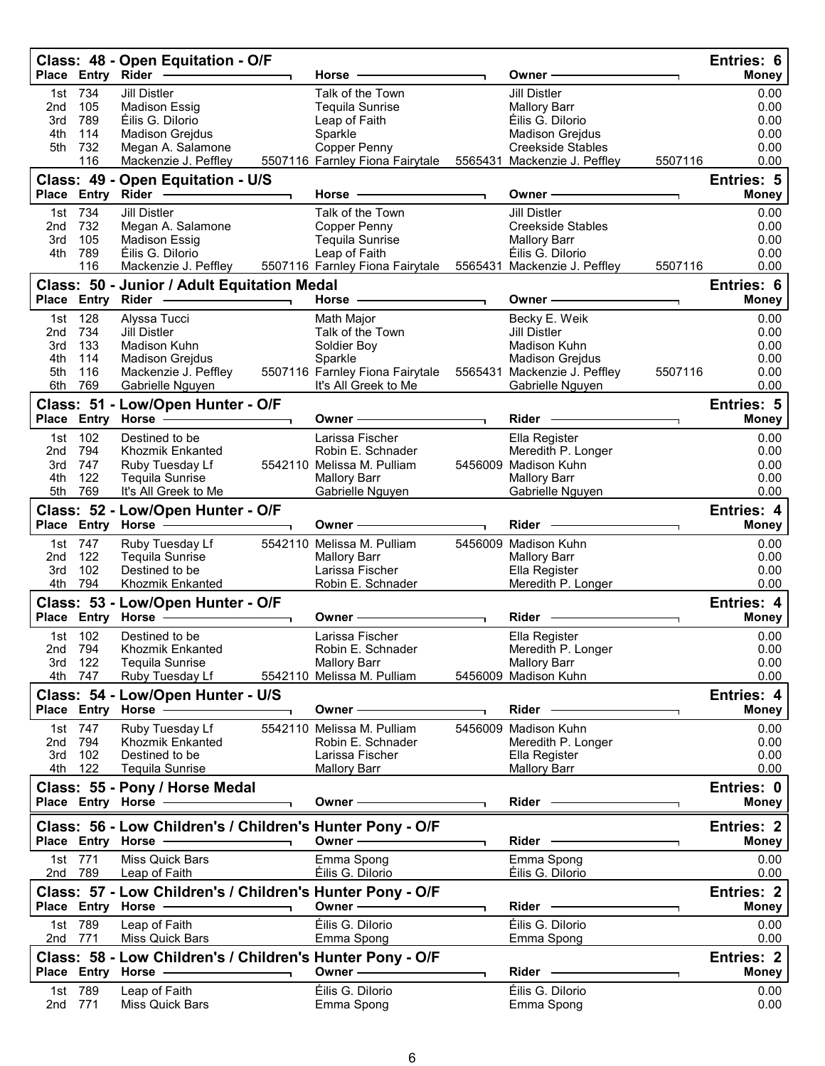|                   |                       | Class: 48 - Open Equitation - O/F<br>Place Entry Rider ------------                                                             | Horse                                                                                | Owner -                                                                            |         | Entries: 6<br>Money               |
|-------------------|-----------------------|---------------------------------------------------------------------------------------------------------------------------------|--------------------------------------------------------------------------------------|------------------------------------------------------------------------------------|---------|-----------------------------------|
| 2nd<br>3rd        | 1st 734<br>105<br>789 | <b>Jill Distler</b><br><b>Madison Essig</b><br>Éilis G. Dilorio                                                                 | Talk of the Town<br><b>Tequila Sunrise</b><br>Leap of Faith                          | <b>Jill Distler</b><br><b>Mallory Barr</b><br>Éilis G. Dilorio                     |         | 0.00<br>0.00<br>0.00              |
| 4th<br>5th        | 114<br>732<br>116     | <b>Madison Grejdus</b><br>Megan A. Salamone<br>Mackenzie J. Peffley                                                             | Sparkle<br>Copper Penny<br>5507116 Farnley Fiona Fairytale                           | <b>Madison Grejdus</b><br><b>Creekside Stables</b><br>5565431 Mackenzie J. Peffley | 5507116 | 0.00<br>0.00<br>0.00              |
|                   |                       | Class: 49 - Open Equitation - U/S                                                                                               | Horse                                                                                | Owner-                                                                             |         | <b>Entries: 5</b><br><b>Money</b> |
|                   | 1st 734               | Place Entry Rider - 2006<br><b>Jill Distler</b>                                                                                 | Talk of the Town                                                                     | <b>Jill Distler</b>                                                                |         | 0.00                              |
| 2nd<br>3rd<br>4th | 732<br>105<br>789     | Megan A. Salamone<br><b>Madison Essig</b><br>Éilis G. Dilorio                                                                   | Copper Penny<br><b>Tequila Sunrise</b><br>Leap of Faith                              | Creekside Stables<br><b>Mallory Barr</b><br>Éilis G. Dilorio                       |         | 0.00<br>0.00<br>0.00              |
|                   | 116                   | Mackenzie J. Peffley                                                                                                            | 5507116 Farnley Fiona Fairytale 5565431 Mackenzie J. Peffley                         |                                                                                    | 5507116 | 0.00                              |
|                   |                       | Class: 50 - Junior / Adult Equitation Medal<br>Place Entry Rider -                                                              | Horse -                                                                              | Owner-                                                                             |         | <b>Entries: 6</b><br><b>Money</b> |
| 1st               | 128                   | Alyssa Tucci                                                                                                                    | Math Major                                                                           | Becky E. Weik                                                                      |         | 0.00                              |
| 2nd<br>3rd        | 734<br>133            | Jill Distler<br>Madison Kuhn                                                                                                    | Talk of the Town<br>Soldier Boy                                                      | <b>Jill Distler</b><br>Madison Kuhn                                                |         | 0.00<br>0.00                      |
| 4th               | 114                   | <b>Madison Grejdus</b>                                                                                                          | Sparkle                                                                              | <b>Madison Grejdus</b>                                                             |         | 0.00                              |
| 5th<br>6th        | 116<br>769            | Mackenzie J. Peffley<br>Gabrielle Nguyen                                                                                        | 5507116 Farnley Fiona Fairytale 5565431 Mackenzie J. Peffley<br>It's All Greek to Me | Gabrielle Nguyen                                                                   | 5507116 | 0.00<br>0.00                      |
|                   |                       | Class: 51 - Low/Open Hunter - O/F                                                                                               |                                                                                      |                                                                                    |         | <b>Entries: 5</b>                 |
|                   | 102                   | Place Entry Horse - The Management of the Management of the Management of the Management of the Management of<br>Destined to be | Owner -<br>Larissa Fischer                                                           | Rider -                                                                            |         | <b>Money</b>                      |
| 1st.<br>2nd       | 794                   | Khozmik Enkanted                                                                                                                | Robin E. Schnader                                                                    | Ella Register<br>Meredith P. Longer                                                |         | 0.00<br>0.00                      |
| 3rd               | 747                   | Ruby Tuesday Lf                                                                                                                 | 5542110 Melissa M. Pulliam                                                           | 5456009 Madison Kuhn                                                               |         | 0.00                              |
| 4th<br>5th        | 122<br>769            | <b>Tequila Sunrise</b><br>It's All Greek to Me                                                                                  | <b>Mallory Barr</b><br>Gabrielle Nguyen                                              | <b>Mallory Barr</b><br>Gabrielle Nguyen                                            |         | 0.00<br>0.00                      |
|                   |                       | Class: 52 - Low/Open Hunter - O/F                                                                                               |                                                                                      |                                                                                    |         | <b>Entries: 4</b>                 |
|                   |                       | Place Entry Horse -                                                                                                             | Owner –                                                                              | Rider -                                                                            |         | <b>Money</b>                      |
|                   | 1st 747               | Ruby Tuesday Lf                                                                                                                 | 5542110 Melissa M. Pulliam                                                           | 5456009 Madison Kuhn                                                               |         | 0.00                              |
| 2nd<br>3rd        | 122<br>102            | Tequila Sunrise<br>Destined to be                                                                                               | <b>Mallory Barr</b><br>Larissa Fischer                                               | <b>Mallory Barr</b><br>Ella Register                                               |         | 0.00<br>0.00                      |
| 4th               | 794                   | Khozmik Enkanted                                                                                                                | Robin E. Schnader                                                                    | Meredith P. Longer                                                                 |         | 0.00                              |
|                   |                       | Class: 53 - Low/Open Hunter - O/F<br>Place Entry Horse -------------                                                            | Owner –                                                                              | Rider -                                                                            |         | <b>Entries: 4</b><br><b>Money</b> |
|                   | 1st 102               | Destined to be                                                                                                                  | Larissa Fischer                                                                      | Ella Register                                                                      |         | 0.00                              |
|                   | 2nd 794               | Khozmik Enkanted                                                                                                                | Robin E. Schnader                                                                    | Meredith P. Longer                                                                 |         | 0.00                              |
| 3rd               | 122<br>4th 747        | <b>Tequila Sunrise</b><br>Ruby Tuesday Lf                                                                                       | <b>Mallory Barr</b><br>5542110 Melissa M. Pulliam                                    | <b>Mallory Barr</b><br>5456009 Madison Kuhn                                        |         | 0.00<br>0.00                      |
|                   |                       | Class: 54 - Low/Open Hunter - U/S                                                                                               |                                                                                      |                                                                                    |         | Entries: 4                        |
|                   |                       | Place Entry Horse -                                                                                                             | Owner ————                                                                           | Rider —                                                                            |         | <b>Money</b>                      |
|                   | 1st 747               | Ruby Tuesday Lf                                                                                                                 | 5542110 Melissa M. Pulliam                                                           | 5456009 Madison Kuhn                                                               |         | 0.00                              |
| 2nd<br>3rd        | 794<br>102            | Khozmik Enkanted<br>Destined to be                                                                                              | Robin E. Schnader<br>Larissa Fischer                                                 | Meredith P. Longer<br>Ella Register                                                |         | 0.00<br>0.00                      |
|                   | 4th 122               | <b>Tequila Sunrise</b>                                                                                                          | <b>Mallory Barr</b>                                                                  | <b>Mallory Barr</b>                                                                |         | 0.00                              |
|                   |                       | Class: 55 - Pony / Horse Medal<br>Place Entry Horse -                                                                           | Owner —                                                                              | Rider —                                                                            |         | Entries: 0<br><b>Money</b>        |
|                   |                       | Class: 56 - Low Children's / Children's Hunter Pony - O/F<br>Place Entry Horse -                                                | Owner -                                                                              | Rider ——                                                                           |         | <b>Entries: 2</b><br><b>Money</b> |
|                   | 1st 771               | Miss Quick Bars                                                                                                                 | Emma Spong                                                                           | Emma Spong                                                                         |         | 0.00                              |
|                   | 2nd 789               | Leap of Faith                                                                                                                   | Éilis G. Dilorio                                                                     | Éilis G. Dilorio                                                                   |         | 0.00                              |
|                   |                       | Class: 57 - Low Children's / Children's Hunter Pony - O/F<br>Place Entry Horse -                                                | Owner -                                                                              | Rider -                                                                            |         | <b>Entries: 2</b><br><b>Money</b> |
|                   | 1st 789               | Leap of Faith                                                                                                                   | Éilis G. Dilorio                                                                     | Éilis G. Dilorio                                                                   |         | 0.00                              |
| 2nd 771           |                       | Miss Quick Bars                                                                                                                 | Emma Spong                                                                           | Emma Spong                                                                         |         | 0.00                              |
|                   |                       | Class: 58 - Low Children's / Children's Hunter Pony - O/F<br>Place Entry Horse -                                                | Owner -                                                                              | Rider -                                                                            |         | <b>Entries: 2</b><br><b>Money</b> |
|                   | 1st 789               | Leap of Faith                                                                                                                   | Éilis G. Dilorio                                                                     | Éilis G. Dilorio                                                                   |         | 0.00                              |
| 2nd               | 771                   | Miss Quick Bars                                                                                                                 | Emma Spong                                                                           | Emma Spong                                                                         |         | 0.00                              |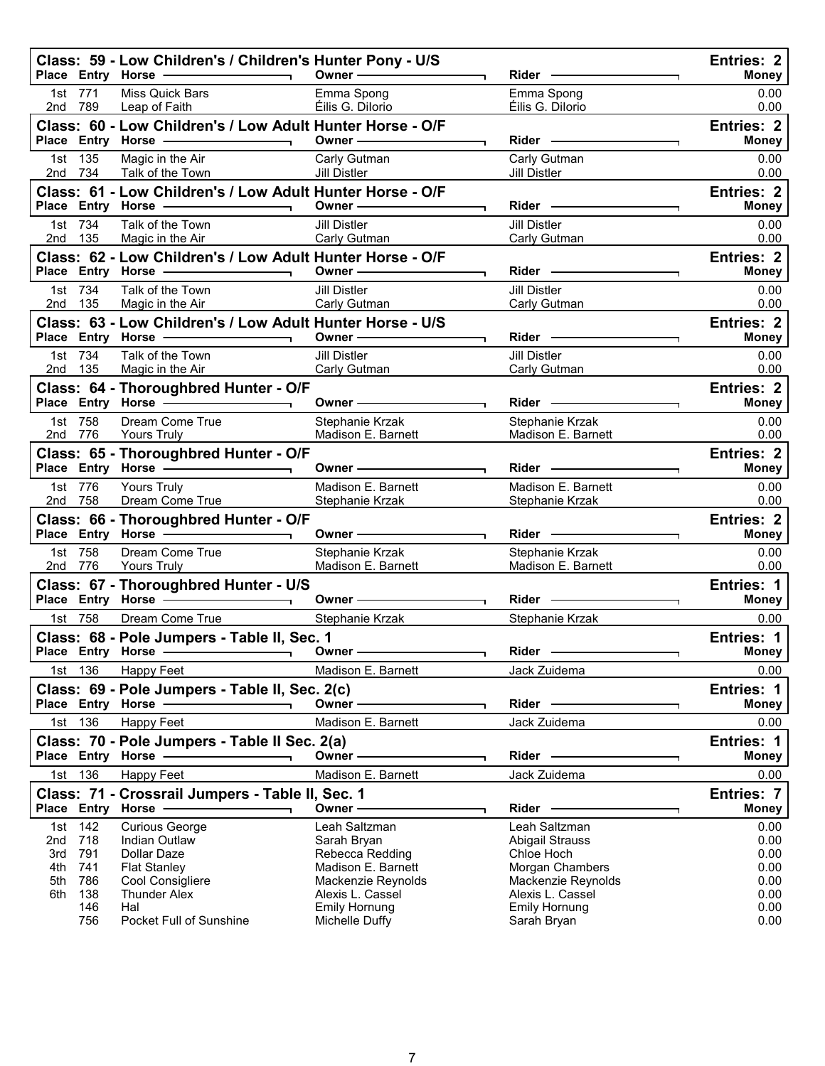|                                                       |                          | Class: 59 - Low Children's / Children's Hunter Pony - U/S<br>Place Entry Horse - and the contract of the contract of the contract of the contract of the contract of the contract of the contract of the contract of the contract of the contract of the contract of the contract of the co | Owner $\overline{\qquad \qquad }$                                                                                                                                                                                             | Rider ———————                                                                                                                                                                                                                        | <b>Entries: 2</b><br><b>Money</b>                    |
|-------------------------------------------------------|--------------------------|---------------------------------------------------------------------------------------------------------------------------------------------------------------------------------------------------------------------------------------------------------------------------------------------|-------------------------------------------------------------------------------------------------------------------------------------------------------------------------------------------------------------------------------|--------------------------------------------------------------------------------------------------------------------------------------------------------------------------------------------------------------------------------------|------------------------------------------------------|
| 1st 771<br>2nd 789                                    |                          | Miss Quick Bars<br>Leap of Faith                                                                                                                                                                                                                                                            | Emma Spong<br>Éilis G. Dilorio                                                                                                                                                                                                | Emma Spong<br>Éilis G. Dilorio                                                                                                                                                                                                       | 0.00<br>0.00                                         |
|                                                       |                          | Class: 60 - Low Children's / Low Adult Hunter Horse - O/F<br>Place Entry Horse - and the manufacturer of the manufacturer of the manufacturer of the manufacturer of the manufacturer of the manufacturer of the manufacturer of the manufacturer of the manufacturer of the manufacturer o | Owner $\longrightarrow$                                                                                                                                                                                                       |                                                                                                                                                                                                                                      | <b>Entries: 2</b><br><b>Money</b>                    |
| 1st 135                                               |                          | Magic in the Air<br>2nd 734 Talk of the Town                                                                                                                                                                                                                                                | Carly Gutman<br>Jill Distler                                                                                                                                                                                                  | Carly Gutman<br>Jill Distler <b>Contract Control</b>                                                                                                                                                                                 | 0.00<br>0.00                                         |
|                                                       |                          | Class: 61 - Low Children's / Low Adult Hunter Horse - O/F<br>Place Entry Horse - and the manufacturer of the manufacturer of the manufacturer of the manufacturer of the manufacturer of the manufacturer of the manufacturer of the manufacturer of the manufacturer of the manufacturer o | Owner $\longrightarrow$                                                                                                                                                                                                       | Rider —                                                                                                                                                                                                                              | <b>Entries: 2</b><br><b>Money</b>                    |
| 1st 734<br>2nd 135                                    |                          | Talk of the Town<br>Magic in the Air                                                                                                                                                                                                                                                        | Jill Distler<br>Carly Gutman                                                                                                                                                                                                  | Jill Distler<br>Carly Gutman                                                                                                                                                                                                         | 0.00<br>0.00                                         |
|                                                       |                          | Class: 62 - Low Children's / Low Adult Hunter Horse - O/F<br>Place Entry Horse - and the manufacturer of the manufacturer of the manufacturer of the manufacturer of the manufacturer of the manufacturer of the manufacturer of the manufacturer of the manufacturer of the manufacturer o | Owner - The Common Common Common Common Common Common Common Common Common Common Common Common Common Common Common Common Common Common Common Common Common Common Common Common Common Common Common Common Common Common | Rider                                                                                                                                                                                                                                | Entries: 2<br><b>Money</b>                           |
| 1st 734<br>2nd 135                                    |                          | Talk of the Town<br>Magic in the Air                                                                                                                                                                                                                                                        | Jill Distler<br>Carly Gutman                                                                                                                                                                                                  | Jill Distler<br>Carly Gutman Carl Carlos                                                                                                                                                                                             | 0.00<br>0.00                                         |
|                                                       |                          | Class: 63 - Low Children's / Low Adult Hunter Horse - U/S<br>Place Entry Horse - and the contract of the contract of the contract of the contract of the contract of the contract of the contract of the contract of the contract of the contract of the contract of the contract of the co | $0$ wner $\qquad$                                                                                                                                                                                                             | Rider - The Management of the Management of the Management of the Management of the Management of the Management of the Management of the Management of the Management of the Management of the Management of the Management o<br>┑. | Entries: 2<br><b>Money</b>                           |
| 1st 734<br>2nd 135                                    |                          | Talk of the Town<br>Magic in the Air                                                                                                                                                                                                                                                        | Jill Distler<br>Carly Gutman                                                                                                                                                                                                  | Jill Distler<br>Carly Gutman Carl Carlos                                                                                                                                                                                             | 0.00<br>0.00                                         |
|                                                       |                          | Class: 64 - Thoroughbred Hunter - O/F<br>Place Entry Horse                                                                                                                                                                                                                                  |                                                                                                                                                                                                                               |                                                                                                                                                                                                                                      | Entries: 2<br><b>Money</b>                           |
| 1st 758<br>2nd 776                                    |                          | Dream Come True<br>Yours Truly <b>Contract Contract Contract Contract Contract Contract Contract Contract Contract Contract Contract</b>                                                                                                                                                    | Stephanie Krzak<br>Madison E. Barnett                                                                                                                                                                                         | Stephanie Krzak<br>Madison E. Barnett                                                                                                                                                                                                | 0.00<br>0.00                                         |
|                                                       |                          | Class: 65 - Thoroughbred Hunter - O/F<br>Place Entry Horse                                                                                                                                                                                                                                  | Owner <u>example</u>                                                                                                                                                                                                          | ┑.                                                                                                                                                                                                                                   | Entries: 2<br><b>Money</b>                           |
| 1st 776<br>2nd 758                                    |                          | <b>Yours Truly</b><br>Dream Come True                                                                                                                                                                                                                                                       | Madison E. Barnett<br>Stephanie Krzak                                                                                                                                                                                         | Madison E. Barnett<br>Stephanie Krzak                                                                                                                                                                                                | 0.00<br>0.00                                         |
|                                                       |                          | Class: 66 - Thoroughbred Hunter - O/F<br>Place Entry Horse - 2000                                                                                                                                                                                                                           | Owner ————————                                                                                                                                                                                                                | Rider<br>┑                                                                                                                                                                                                                           | <b>Entries: 2</b><br><b>Money</b>                    |
| 1st 758<br>2nd 776                                    |                          | Dream Come True<br>Yours Truly                                                                                                                                                                                                                                                              | Stephanie Krzak<br>Madison E. Barnett                                                                                                                                                                                         | Stephanie Krzak<br>Madison E. Barnett [19]                                                                                                                                                                                           | 0.00<br>0.00                                         |
|                                                       |                          | Class: 67 - Thoroughbred Hunter - U/S                                                                                                                                                                                                                                                       | Owner $\overline{\phantom{a}}$                                                                                                                                                                                                | ┑                                                                                                                                                                                                                                    | Entries: 1<br><b>Money</b>                           |
|                                                       |                          | 1st 758 Dream Come True                                                                                                                                                                                                                                                                     | Stephanie Krzak                                                                                                                                                                                                               | Stephanie Krzak                                                                                                                                                                                                                      | 0.00                                                 |
|                                                       |                          | Class: 68 - Pole Jumpers - Table II, Sec. 1<br>Place Entry Horse - - - - - - -                                                                                                                                                                                                              | $\overline{\phantom{a}}$ Owner —                                                                                                                                                                                              | Rider                                                                                                                                                                                                                                | <b>Entries: 1</b><br><b>Money</b>                    |
| 1st 136                                               |                          | Happy Feet                                                                                                                                                                                                                                                                                  | Madison E. Barnett                                                                                                                                                                                                            | Jack Zuidema                                                                                                                                                                                                                         | 0.00                                                 |
|                                                       |                          | Class: 69 - Pole Jumpers - Table II, Sec. 2(c)                                                                                                                                                                                                                                              |                                                                                                                                                                                                                               |                                                                                                                                                                                                                                      | Entries: 1                                           |
| Place Entry Horse -                                   |                          |                                                                                                                                                                                                                                                                                             | Owner -                                                                                                                                                                                                                       | Rider -                                                                                                                                                                                                                              | Money                                                |
| 1st 136                                               |                          | Happy Feet                                                                                                                                                                                                                                                                                  | Madison E. Barnett                                                                                                                                                                                                            | Jack Zuidema                                                                                                                                                                                                                         | 0.00                                                 |
|                                                       |                          | Class: 70 - Pole Jumpers - Table II Sec. 2(a)<br>Place Entry Horse -                                                                                                                                                                                                                        | Owner-                                                                                                                                                                                                                        | Rider -                                                                                                                                                                                                                              | Entries: 1<br><b>Money</b>                           |
| 1st 136                                               |                          | Happy Feet                                                                                                                                                                                                                                                                                  | Madison E. Barnett                                                                                                                                                                                                            | Jack Zuidema                                                                                                                                                                                                                         | 0.00                                                 |
| Place Entry Horse                                     |                          | Class: 71 - Crossrail Jumpers - Table II, Sec. 1                                                                                                                                                                                                                                            | Owner-                                                                                                                                                                                                                        | Rider -                                                                                                                                                                                                                              | Entries: 7<br><b>Money</b>                           |
| 1st 142<br>2nd 718<br>3rd<br>4th<br>741<br>5th<br>6th | 791<br>786<br>138<br>146 | <b>Curious George</b><br>Indian Outlaw<br>Dollar Daze<br><b>Flat Stanley</b><br>Cool Consigliere<br><b>Thunder Alex</b><br>Hal                                                                                                                                                              | Leah Saltzman<br>Sarah Bryan<br>Rebecca Redding<br>Madison E. Barnett<br>Mackenzie Reynolds<br>Alexis L. Cassel<br><b>Emily Hornung</b>                                                                                       | Leah Saltzman<br>Abigail Strauss<br>Chloe Hoch<br>Morgan Chambers<br>Mackenzie Reynolds<br>Alexis L. Cassel<br><b>Emily Hornung</b>                                                                                                  | 0.00<br>0.00<br>0.00<br>0.00<br>0.00<br>0.00<br>0.00 |
|                                                       | 756                      | Pocket Full of Sunshine                                                                                                                                                                                                                                                                     | Michelle Duffy                                                                                                                                                                                                                | Sarah Bryan                                                                                                                                                                                                                          | 0.00                                                 |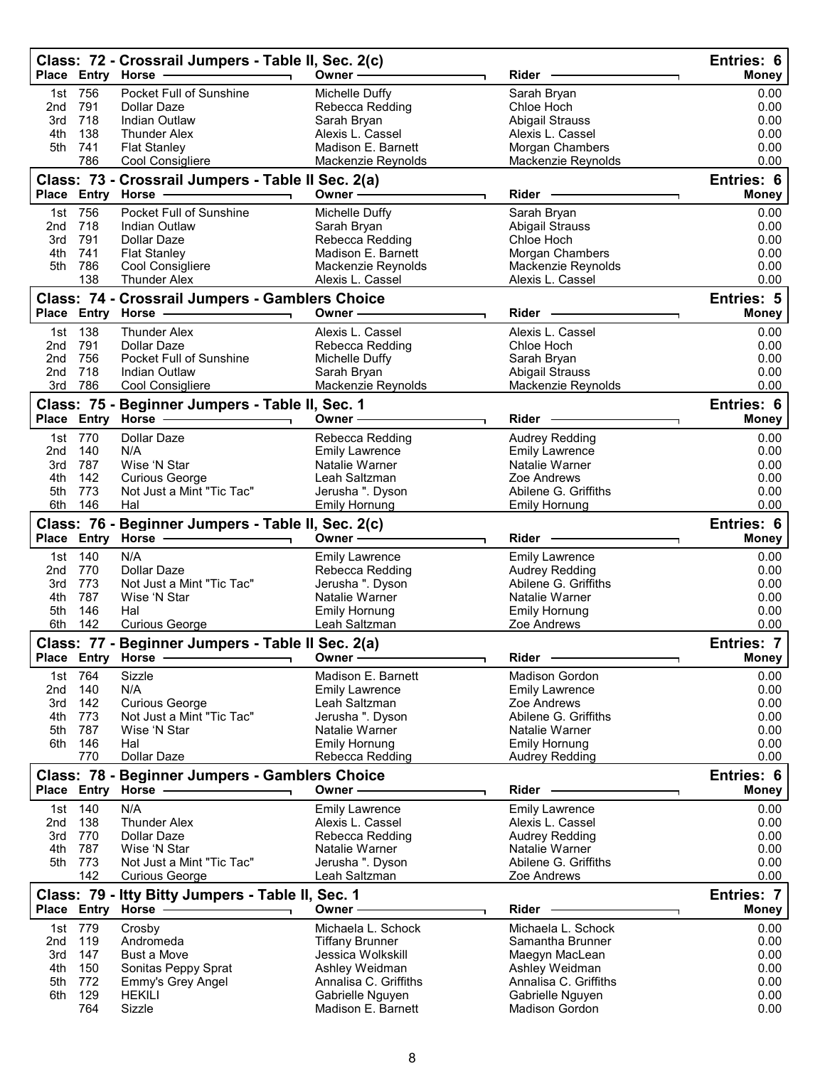|            |                | Class: 72 - Crossrail Jumpers - Table II, Sec. 2(c)<br>Place Entry Horse | Owner -                                      | <b>Rider</b>                                  | Entries: 6<br><b>Money</b> |
|------------|----------------|--------------------------------------------------------------------------|----------------------------------------------|-----------------------------------------------|----------------------------|
|            | 1st 756        | Pocket Full of Sunshine                                                  | Michelle Duffy                               | Sarah Bryan                                   | 0.00                       |
| 2nd        | 791            | Dollar Daze                                                              | Rebecca Redding                              | Chloe Hoch                                    | 0.00                       |
| 3rd        | 718            | Indian Outlaw                                                            | Sarah Bryan                                  | <b>Abigail Strauss</b>                        | 0.00                       |
| 4th        | 138            | <b>Thunder Alex</b>                                                      | Alexis L. Cassel                             | Alexis L. Cassel                              | 0.00                       |
| 5th        | 741<br>786     | <b>Flat Stanley</b><br>Cool Consigliere                                  | Madison E. Barnett<br>Mackenzie Reynolds     | Morgan Chambers<br>Mackenzie Reynolds         | 0.00<br>0.00               |
|            |                |                                                                          |                                              |                                               |                            |
|            |                | Class: 73 - Crossrail Jumpers - Table II Sec. 2(a)<br>Place Entry Horse  | Owner-                                       | Rider                                         | Entries: 6<br>Money        |
| 1st        | 756            | Pocket Full of Sunshine                                                  | Michelle Duffy                               | Sarah Bryan                                   | 0.00                       |
| 2nd        | 718            | <b>Indian Outlaw</b>                                                     | Sarah Bryan                                  | <b>Abigail Strauss</b>                        | 0.00                       |
| 3rd        | 791            | Dollar Daze                                                              | Rebecca Redding                              | Chloe Hoch                                    | 0.00                       |
| 4th<br>5th | 741<br>786     | <b>Flat Stanley</b><br>Cool Consigliere                                  | Madison E. Barnett                           | Morgan Chambers<br>Mackenzie Reynolds         | 0.00<br>0.00               |
|            | 138            | <b>Thunder Alex</b>                                                      | Mackenzie Reynolds<br>Alexis L. Cassel       | Alexis L. Cassel                              | 0.00                       |
|            |                | Class: 74 - Crossrail Jumpers - Gamblers Choice                          |                                              |                                               | Entries: 5                 |
|            |                | Place Entry Horse                                                        | Owner -                                      | Rider                                         | <b>Money</b>               |
| 1st        | 138            | <b>Thunder Alex</b>                                                      | Alexis L. Cassel                             | Alexis L. Cassel                              | 0.00                       |
| 2nd        | 791            | Dollar Daze                                                              | Rebecca Redding                              | Chloe Hoch                                    | 0.00                       |
| 2nd        | 756            | Pocket Full of Sunshine                                                  | Michelle Duffy                               | Sarah Bryan                                   | 0.00                       |
| 2nd        | 718            | <b>Indian Outlaw</b>                                                     | Sarah Bryan                                  | Abigail Strauss<br>Mackenzie Reynolds         | 0.00                       |
| 3rd        | 786            | Cool Consigliere                                                         | Mackenzie Reynolds                           |                                               | 0.00                       |
|            |                | Class: 75 - Beginner Jumpers - Table II, Sec. 1<br>Place Entry Horse -   | Owner -                                      | Rider                                         | Entries: 6<br>Money        |
|            | 1st 770        | <b>Dollar Daze</b>                                                       | Rebecca Redding                              | Audrey Redding                                | 0.00                       |
| 2nd        | 140            | N/A                                                                      | <b>Emily Lawrence</b>                        | Emily Lawrence                                | 0.00                       |
| 3rd        | 787            | Wise 'N Star                                                             | Natalie Warner                               | Natalie Warner                                | 0.00                       |
| 4th        | 142            | <b>Curious George</b>                                                    | Leah Saltzman                                | Zoe Andrews                                   | 0.00                       |
| 5th        | 773            | Not Just a Mint "Tic Tac"                                                | Jerusha ". Dyson                             | Abilene G. Griffiths                          | 0.00                       |
| 6th        | 146            | Hal                                                                      | <b>Emily Hornung</b>                         | <b>Emily Hornung</b>                          | 0.00                       |
|            |                | Class: 76 - Beginner Jumpers - Table II, Sec. 2(c)                       |                                              |                                               | <b>Entries: 6</b>          |
|            |                | Place Entry Horse -----------                                            | Owner —                                      | Rider -                                       | <b>Money</b>               |
| 1st        | 140            | N/A                                                                      | <b>Emily Lawrence</b>                        | <b>Emily Lawrence</b>                         | 0.00                       |
| 2nd<br>3rd | 770<br>773     | Dollar Daze<br>Not Just a Mint "Tic Tac"                                 | Rebecca Redding<br>Jerusha ". Dyson          | <b>Audrey Redding</b><br>Abilene G. Griffiths | 0.00<br>0.00               |
| 4th        | 787            | Wise 'N Star                                                             | Natalie Warner                               | Natalie Warner                                | 0.00                       |
| 5th        | 146            | Hal                                                                      | <b>Emily Hornung</b>                         | <b>Emily Hornung</b>                          | 0.00                       |
| 6th        | 142            | <b>Curious George</b>                                                    | Leah Saltzman                                | Zoe Andrews                                   | 0.00                       |
|            |                | Class: 77 - Beginner Jumpers - Table II Sec. 2(a)                        |                                              |                                               | <b>Entries: 7</b>          |
|            |                | Place Entry Horse -                                                      | Owner-                                       | Rider                                         | <b>Money</b>               |
| 1st        | 764            | Sizzle                                                                   | Madison E. Barnett                           | Madison Gordon                                | 0.00                       |
| 2nd        | 140            | N/A                                                                      | <b>Emily Lawrence</b>                        | <b>Emily Lawrence</b>                         | 0.00                       |
| 3rd        | 142            | <b>Curious George</b>                                                    | Leah Saltzman                                | Zoe Andrews                                   | 0.00                       |
| 4th        | 773            | Not Just a Mint "Tic Tac"                                                | Jerusha ". Dyson                             | Abilene G. Griffiths                          | 0.00                       |
| 5th<br>6th | 787<br>146     | Wise 'N Star<br>Hal                                                      | Natalie Warner<br><b>Emily Hornung</b>       | Natalie Warner<br><b>Emily Hornung</b>        | 0.00<br>0.00               |
|            | 770            | Dollar Daze                                                              | Rebecca Redding                              | <b>Audrey Redding</b>                         | 0.00                       |
|            |                | Class: 78 - Beginner Jumpers - Gamblers Choice                           |                                              |                                               | Entries: 6                 |
|            |                | Place Entry Horse -                                                      | Owner-                                       | Rider -                                       | <b>Money</b>               |
| 1st        | 140            | N/A                                                                      | <b>Emily Lawrence</b>                        | <b>Emily Lawrence</b>                         | 0.00                       |
| 2nd        | 138            | <b>Thunder Alex</b>                                                      | Alexis L. Cassel                             | Alexis L. Cassel                              | 0.00                       |
| 3rd        | 770            | Dollar Daze                                                              | Rebecca Redding                              | Audrey Redding                                | 0.00                       |
| 4th        | 787            | Wise 'N Star                                                             | Natalie Warner                               | Natalie Warner                                | 0.00                       |
| 5th        | 773<br>142     | Not Just a Mint "Tic Tac"<br><b>Curious George</b>                       | Jerusha ". Dyson<br>Leah Saltzman            | Abilene G. Griffiths<br>Zoe Andrews           | 0.00<br>0.00               |
|            |                | Class: 79 - Itty Bitty Jumpers - Table II, Sec. 1                        |                                              |                                               | <b>Entries: 7</b>          |
|            |                | Place Entry Horse -                                                      | Owner -                                      | Rider                                         | <b>Money</b>               |
|            |                |                                                                          |                                              |                                               |                            |
| 2nd        | 1st 779<br>119 | Crosby<br>Andromeda                                                      | Michaela L. Schock<br><b>Tiffany Brunner</b> | Michaela L. Schock<br>Samantha Brunner        | 0.00<br>0.00               |
| 3rd        | 147            | <b>Bust a Move</b>                                                       | Jessica Wolkskill                            | Maegyn MacLean                                | 0.00                       |
| 4th        | 150            | Sonitas Peppy Sprat                                                      | Ashley Weidman                               | Ashley Weidman                                | 0.00                       |
| 5th        | 772            | Emmy's Grey Angel                                                        | Annalisa C. Griffiths                        | Annalisa C. Griffiths                         | 0.00                       |
| 6th        | 129            | <b>HEKILI</b>                                                            | Gabrielle Nguyen                             | Gabrielle Nguyen                              | 0.00                       |
|            | 764            | Sizzle                                                                   | Madison E. Barnett                           | Madison Gordon                                | 0.00                       |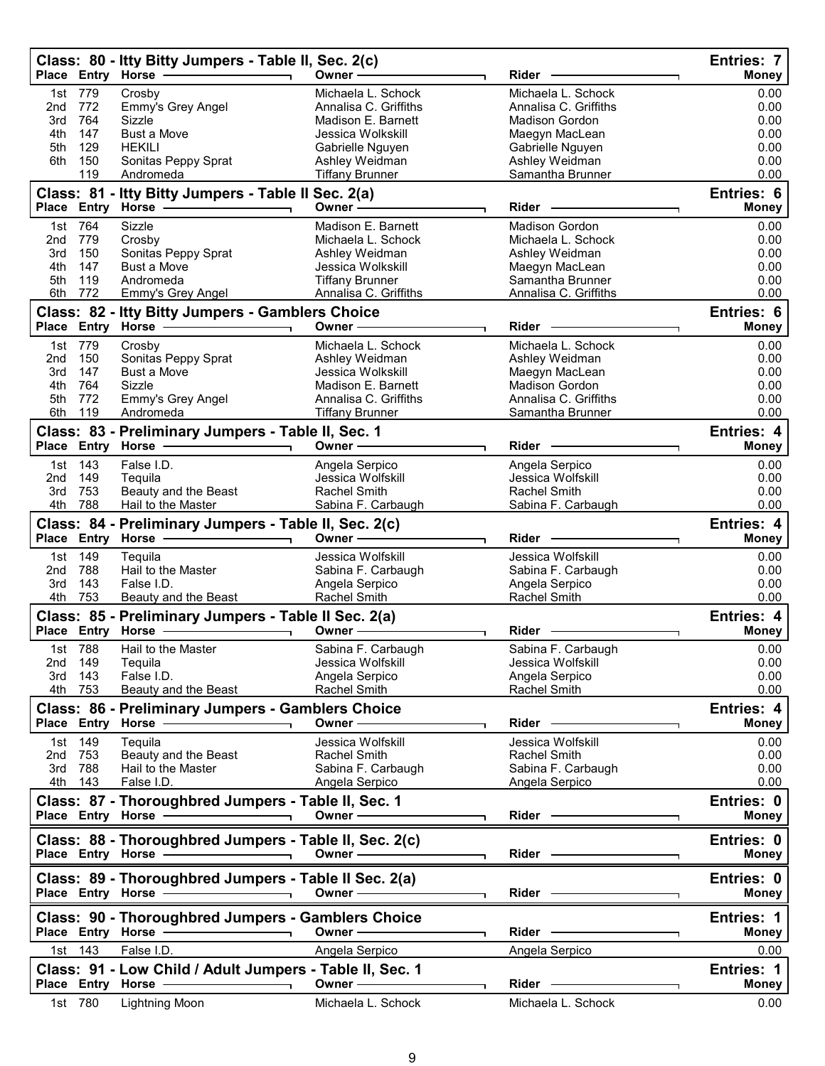|            |                    | Class: 80 - Itty Bitty Jumpers - Table II, Sec. 2(c)<br>Place Entry Horse -                                                                                                                                                                                                             | Owner -                                   | Rider                                   | Entries: 7<br><b>Money</b> |
|------------|--------------------|-----------------------------------------------------------------------------------------------------------------------------------------------------------------------------------------------------------------------------------------------------------------------------------------|-------------------------------------------|-----------------------------------------|----------------------------|
| 1st        | 779                | Crosby                                                                                                                                                                                                                                                                                  | Michaela L. Schock                        | Michaela L. Schock                      | 0.00                       |
| 2nd        | 772                | Emmy's Grey Angel                                                                                                                                                                                                                                                                       | Annalisa C. Griffiths                     | Annalisa C. Griffiths                   | 0.00                       |
| 3rd<br>4th | 764<br>147         | Sizzle<br><b>Bust a Move</b>                                                                                                                                                                                                                                                            | Madison E. Barnett<br>Jessica Wolkskill   | Madison Gordon                          | 0.00                       |
| 5th        | 129                | <b>HEKILI</b>                                                                                                                                                                                                                                                                           | Gabrielle Nguyen                          | Maegyn MacLean<br>Gabrielle Nguyen      | 0.00<br>0.00               |
| 6th        | 150                | Sonitas Peppy Sprat                                                                                                                                                                                                                                                                     | Ashley Weidman                            | Ashley Weidman                          | 0.00                       |
|            | 119                | Andromeda                                                                                                                                                                                                                                                                               | <b>Tiffany Brunner</b>                    | Samantha Brunner                        | 0.00                       |
|            |                    | Class: 81 - Itty Bitty Jumpers - Table II Sec. 2(a)<br>Place Entry Horse -                                                                                                                                                                                                              | Owner $-$                                 | Rider                                   | Entries: 6<br><b>Money</b> |
| 1st        | 764                | Sizzle                                                                                                                                                                                                                                                                                  | Madison E. Barnett                        | <b>Madison Gordon</b>                   | 0.00                       |
| 2nd<br>3rd | 779<br>150         | Crosby                                                                                                                                                                                                                                                                                  | Michaela L. Schock                        | Michaela L. Schock                      | 0.00<br>0.00               |
| 4th        | 147                | Sonitas Peppy Sprat<br>Bust a Move                                                                                                                                                                                                                                                      | Ashley Weidman<br>Jessica Wolkskill       | Ashley Weidman<br>Maegyn MacLean        | 0.00                       |
| 5th        | 119                | Andromeda                                                                                                                                                                                                                                                                               | <b>Tiffany Brunner</b>                    | Samantha Brunner                        | 0.00                       |
| 6th        | 772                | Emmy's Grey Angel                                                                                                                                                                                                                                                                       | Annalisa C. Griffiths                     | Annalisa C. Griffiths                   | 0.00                       |
|            |                    | Class: 82 - Itty Bitty Jumpers - Gamblers Choice                                                                                                                                                                                                                                        |                                           |                                         | Entries: 6                 |
|            |                    | Place Entry Horse - 2000                                                                                                                                                                                                                                                                | Owner -                                   | <b>Rider</b>                            | <b>Money</b>               |
| 2nd        | 1st 779<br>150     | Crosby<br>Sonitas Peppy Sprat                                                                                                                                                                                                                                                           | Michaela L. Schock<br>Ashley Weidman      | Michaela L. Schock<br>Ashley Weidman    | 0.00<br>0.00               |
| 3rd        | 147                | <b>Bust a Move</b>                                                                                                                                                                                                                                                                      | Jessica Wolkskill                         | Maegyn MacLean                          | 0.00                       |
| 4th        | 764                | Sizzle                                                                                                                                                                                                                                                                                  | Madison E. Barnett                        | <b>Madison Gordon</b>                   | 0.00                       |
| 5th        | 772                | Emmy's Grey Angel                                                                                                                                                                                                                                                                       | Annalisa C. Griffiths                     | Annalisa C. Griffiths                   | 0.00                       |
| 6th        | 119                | Andromeda                                                                                                                                                                                                                                                                               | <b>Tiffany Brunner</b>                    | Samantha Brunner                        | 0.00                       |
|            |                    | Class: 83 - Preliminary Jumpers - Table II, Sec. 1<br>Place Entry Horse -                                                                                                                                                                                                               | Owner -                                   | Rider                                   | Entries: 4<br><b>Money</b> |
| 1st        | 143                | False I.D.                                                                                                                                                                                                                                                                              | Angela Serpico                            | Angela Serpico                          | 0.00                       |
| 2nd        | 149                | Tequila                                                                                                                                                                                                                                                                                 | Jessica Wolfskill                         | Jessica Wolfskill                       | 0.00                       |
| 3rd        | 753                | Beauty and the Beast                                                                                                                                                                                                                                                                    | <b>Rachel Smith</b>                       | <b>Rachel Smith</b>                     | 0.00                       |
| 4th        | 788                | Hail to the Master                                                                                                                                                                                                                                                                      | Sabina F. Carbaugh                        | Sabina F. Carbaugh                      | 0.00                       |
|            |                    | Class: 84 - Preliminary Jumpers - Table II, Sec. 2(c)                                                                                                                                                                                                                                   |                                           |                                         | Entries: 4                 |
|            |                    | Place Entry Horse                                                                                                                                                                                                                                                                       | Owner-                                    | Rider -                                 | <b>Money</b>               |
| 1st<br>2nd | 149<br>788         | Tequila<br>Hail to the Master                                                                                                                                                                                                                                                           | Jessica Wolfskill<br>Sabina F. Carbaugh   | Jessica Wolfskill<br>Sabina F. Carbaugh | 0.00<br>0.00               |
| 3rd        | 143                | False I.D.                                                                                                                                                                                                                                                                              | Angela Serpico                            | Angela Serpico                          | 0.00                       |
| 4th        | 753                | Beauty and the Beast                                                                                                                                                                                                                                                                    | Rachel Smith                              | Rachel Smith                            | 0.00                       |
|            |                    | Class: 85 - Preliminary Jumpers - Table II Sec. 2(a)                                                                                                                                                                                                                                    |                                           |                                         | Entries: 4                 |
|            |                    | Place Entry Horse - The Management of the Management of the Management of the Management of the Management of                                                                                                                                                                           | Owner $\_\_$                              | Rider                                   | <b>Money</b>               |
|            | 1st 788            | Hail to the Master                                                                                                                                                                                                                                                                      | Sabina F. Carbaugh<br>Jessica Wolfskill   | Sabina F. Carbaugh<br>Jessica Wolfskill | 0.00                       |
|            | 2nd 149<br>3rd 143 | Tequila<br>False I.D.                                                                                                                                                                                                                                                                   | Angela Serpico                            | Angela Serpico                          | 0.00<br>0.00               |
|            | 4th 753            | Beauty and the Beast                                                                                                                                                                                                                                                                    | Rachel Smith                              | Rachel Smith                            | 0.00                       |
|            |                    | Class: 86 - Preliminary Jumpers - Gamblers Choice                                                                                                                                                                                                                                       |                                           |                                         | Entries: 4                 |
|            |                    |                                                                                                                                                                                                                                                                                         | Owner -                                   | Rider -                                 | Money                      |
|            | 1st 149            | Tequila                                                                                                                                                                                                                                                                                 | Jessica Wolfskill                         | Jessica Wolfskill                       | 0.00                       |
|            | 2nd 753<br>3rd 788 | Beauty and the Beast<br>Hail to the Master                                                                                                                                                                                                                                              | <b>Rachel Smith</b><br>Sabina F. Carbaugh | Rachel Smith<br>Sabina F. Carbaugh      | 0.00<br>0.00               |
|            | 4th 143            | False I.D.                                                                                                                                                                                                                                                                              | Angela Serpico                            | Angela Serpico                          | 0.00                       |
|            |                    | Class: 87 - Thoroughbred Jumpers - Table II, Sec. 1                                                                                                                                                                                                                                     |                                           |                                         | Entries: 0                 |
|            |                    | Place Entry Horse <b>Constant Constructs</b>                                                                                                                                                                                                                                            | Owner —————                               | Rider —                                 | <b>Money</b>               |
|            |                    | Class: 88 - Thoroughbred Jumpers - Table II, Sec. 2(c)<br>Place Entry Horse - 2000<br>$\overline{\phantom{0}}$                                                                                                                                                                          | Owner -                                   | Rider ————                              | Entries: 0<br>Money        |
|            |                    | Class: 89 - Thoroughbred Jumpers - Table II Sec. 2(a)<br>Place Entry Horse - and the manufacturer of the manufacturer of the manufacturer of the manufacturer of the manufacturer of the manufacturer of the manufacturer of the manufacturer of the manufacturer of the manufacturer o | Owner -                                   | Rider —                                 | Entries: 0<br>Money        |
|            |                    | Class: 90 - Thoroughbred Jumpers - Gamblers Choice                                                                                                                                                                                                                                      | Owner -                                   | Rider -                                 | Entries: 1<br><b>Money</b> |
|            | 1st 143            | False I.D.                                                                                                                                                                                                                                                                              | Angela Serpico                            | Angela Serpico                          | 0.00                       |
|            |                    | Class: 91 - Low Child / Adult Jumpers - Table II, Sec. 1                                                                                                                                                                                                                                |                                           |                                         | Entries: 1                 |
|            |                    | Place Entry Horse -<br>$\overline{\phantom{a}}$                                                                                                                                                                                                                                         | Owner-                                    | $Rider -$                               | <b>Money</b>               |
|            | 1st 780            | Lightning Moon                                                                                                                                                                                                                                                                          | Michaela L. Schock                        | Michaela L. Schock                      | 0.00                       |